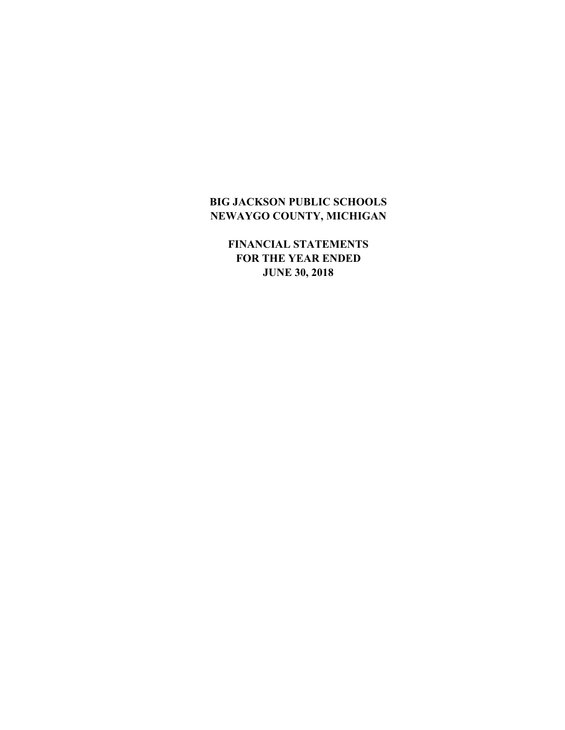# **BIG JACKSON PUBLIC SCHOOLS NEWAYGO COUNTY, MICHIGAN**

**FINANCIAL STATEMENTS FOR THE YEAR ENDED JUNE 30, 2018**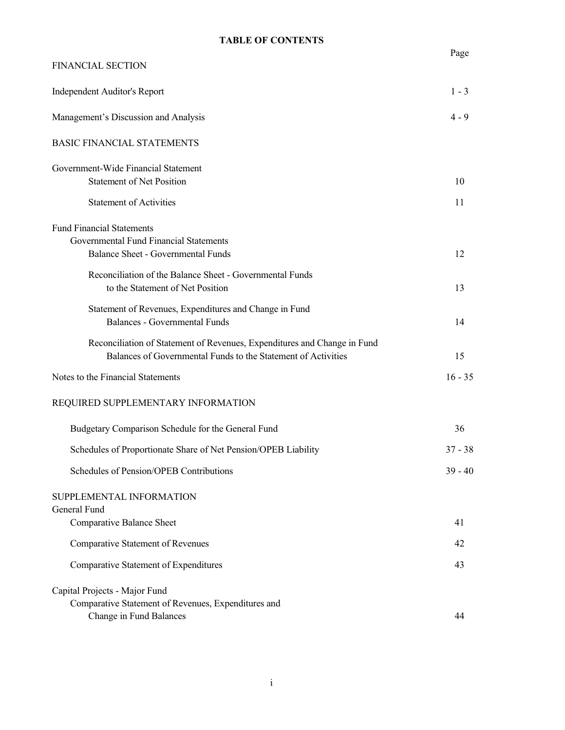# **TABLE OF CONTENTS**

|                                                                                                                                           | Page      |
|-------------------------------------------------------------------------------------------------------------------------------------------|-----------|
| <b>FINANCIAL SECTION</b>                                                                                                                  |           |
| <b>Independent Auditor's Report</b>                                                                                                       | $1 - 3$   |
| Management's Discussion and Analysis                                                                                                      | $4 - 9$   |
| <b>BASIC FINANCIAL STATEMENTS</b>                                                                                                         |           |
| Government-Wide Financial Statement<br><b>Statement of Net Position</b>                                                                   | 10        |
| <b>Statement of Activities</b>                                                                                                            | 11        |
| <b>Fund Financial Statements</b><br>Governmental Fund Financial Statements<br><b>Balance Sheet - Governmental Funds</b>                   | 12        |
| Reconciliation of the Balance Sheet - Governmental Funds<br>to the Statement of Net Position                                              | 13        |
| Statement of Revenues, Expenditures and Change in Fund<br><b>Balances - Governmental Funds</b>                                            | 14        |
| Reconciliation of Statement of Revenues, Expenditures and Change in Fund<br>Balances of Governmental Funds to the Statement of Activities | 15        |
| Notes to the Financial Statements                                                                                                         | $16 - 35$ |
| REQUIRED SUPPLEMENTARY INFORMATION                                                                                                        |           |
| Budgetary Comparison Schedule for the General Fund                                                                                        | 36        |
| Schedules of Proportionate Share of Net Pension/OPEB Liability                                                                            | $37 - 38$ |
| Schedules of Pension/OPEB Contributions                                                                                                   | $39 - 40$ |
| SUPPLEMENTAL INFORMATION<br>General Fund                                                                                                  |           |
| <b>Comparative Balance Sheet</b>                                                                                                          | 41        |
| <b>Comparative Statement of Revenues</b>                                                                                                  | 42        |
| Comparative Statement of Expenditures                                                                                                     | 43        |
| Capital Projects - Major Fund<br>Comparative Statement of Revenues, Expenditures and<br>Change in Fund Balances                           | 44        |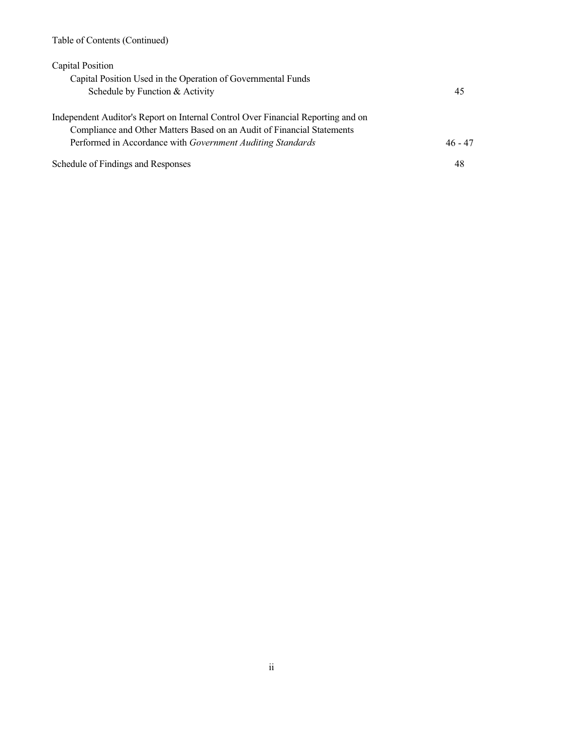## Table of Contents (Continued)

| Capital Position                                                                 |           |
|----------------------------------------------------------------------------------|-----------|
| Capital Position Used in the Operation of Governmental Funds                     |           |
| Schedule by Function & Activity                                                  | 45        |
| Independent Auditor's Report on Internal Control Over Financial Reporting and on |           |
| Compliance and Other Matters Based on an Audit of Financial Statements           |           |
| Performed in Accordance with Government Auditing Standards                       | $46 - 47$ |
| Schedule of Findings and Responses                                               | 48        |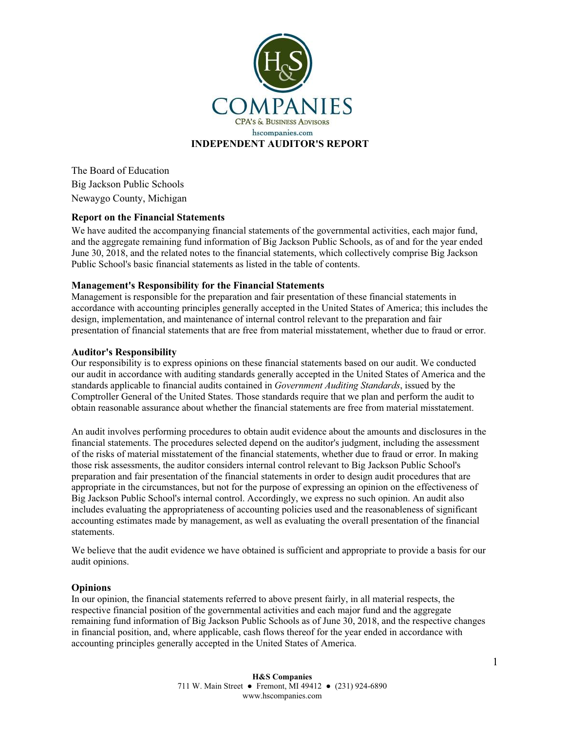

The Board of Education Big Jackson Public Schools Newaygo County, Michigan

#### **Report on the Financial Statements**

We have audited the accompanying financial statements of the governmental activities, each major fund, and the aggregate remaining fund information of Big Jackson Public Schools, as of and for the year ended June 30, 2018, and the related notes to the financial statements, which collectively comprise Big Jackson Public School's basic financial statements as listed in the table of contents.

#### **Management's Responsibility for the Financial Statements**

Management is responsible for the preparation and fair presentation of these financial statements in accordance with accounting principles generally accepted in the United States of America; this includes the design, implementation, and maintenance of internal control relevant to the preparation and fair presentation of financial statements that are free from material misstatement, whether due to fraud or error.

#### **Auditor's Responsibility**

Our responsibility is to express opinions on these financial statements based on our audit. We conducted our audit in accordance with auditing standards generally accepted in the United States of America and the standards applicable to financial audits contained in *Government Auditing Standards*, issued by the Comptroller General of the United States. Those standards require that we plan and perform the audit to obtain reasonable assurance about whether the financial statements are free from material misstatement.

An audit involves performing procedures to obtain audit evidence about the amounts and disclosures in the financial statements. The procedures selected depend on the auditor's judgment, including the assessment of the risks of material misstatement of the financial statements, whether due to fraud or error. In making those risk assessments, the auditor considers internal control relevant to Big Jackson Public School's preparation and fair presentation of the financial statements in order to design audit procedures that are appropriate in the circumstances, but not for the purpose of expressing an opinion on the effectiveness of Big Jackson Public School's internal control. Accordingly, we express no such opinion. An audit also includes evaluating the appropriateness of accounting policies used and the reasonableness of significant accounting estimates made by management, as well as evaluating the overall presentation of the financial statements.

We believe that the audit evidence we have obtained is sufficient and appropriate to provide a basis for our audit opinions.

#### **Opinions**

In our opinion, the financial statements referred to above present fairly, in all material respects, the respective financial position of the governmental activities and each major fund and the aggregate remaining fund information of Big Jackson Public Schools as of June 30, 2018, and the respective changes in financial position, and, where applicable, cash flows thereof for the year ended in accordance with accounting principles generally accepted in the United States of America.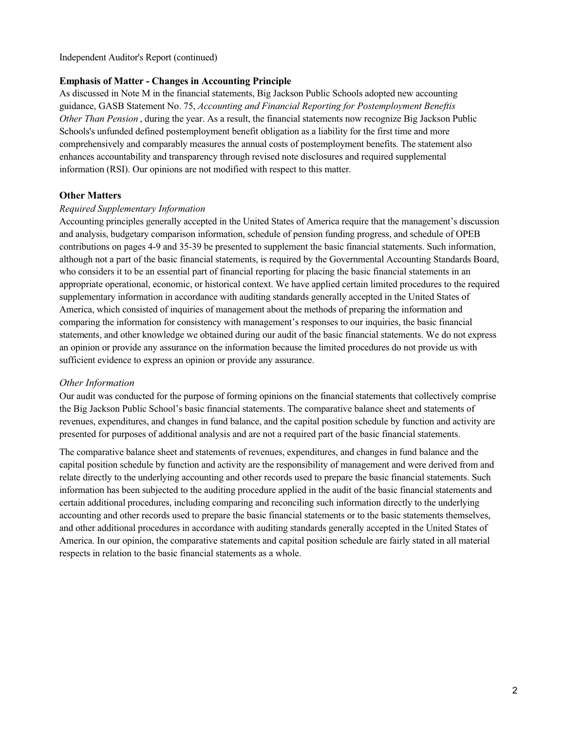Independent Auditor's Report (continued)

#### **Emphasis of Matter - Changes in Accounting Principle**

As discussed in Note M in the financial statements, Big Jackson Public Schools adopted new accounting guidance, GASB Statement No. 75, *Accounting and Financial Reporting for Postemployment Beneftis Other Than Pension* , during the year. As a result, the financial statements now recognize Big Jackson Public Schools's unfunded defined postemployment benefit obligation as a liability for the first time and more comprehensively and comparably measures the annual costs of postemployment benefits. The statement also enhances accountability and transparency through revised note disclosures and required supplemental information (RSI). Our opinions are not modified with respect to this matter.

#### **Other Matters**

#### *Required Supplementary Information*

Accounting principles generally accepted in the United States of America require that the management's discussion and analysis, budgetary comparison information, schedule of pension funding progress, and schedule of OPEB contributions on pages 4-9 and 35-39 be presented to supplement the basic financial statements. Such information, although not a part of the basic financial statements, is required by the Governmental Accounting Standards Board, who considers it to be an essential part of financial reporting for placing the basic financial statements in an appropriate operational, economic, or historical context. We have applied certain limited procedures to the required supplementary information in accordance with auditing standards generally accepted in the United States of America, which consisted of inquiries of management about the methods of preparing the information and comparing the information for consistency with management's responses to our inquiries, the basic financial statements, and other knowledge we obtained during our audit of the basic financial statements. We do not express an opinion or provide any assurance on the information because the limited procedures do not provide us with sufficient evidence to express an opinion or provide any assurance.

#### *Other Information*

Our audit was conducted for the purpose of forming opinions on the financial statements that collectively comprise the Big Jackson Public School's basic financial statements. The comparative balance sheet and statements of revenues, expenditures, and changes in fund balance, and the capital position schedule by function and activity are presented for purposes of additional analysis and are not a required part of the basic financial statements.

The comparative balance sheet and statements of revenues, expenditures, and changes in fund balance and the capital position schedule by function and activity are the responsibility of management and were derived from and relate directly to the underlying accounting and other records used to prepare the basic financial statements. Such information has been subjected to the auditing procedure applied in the audit of the basic financial statements and certain additional procedures, including comparing and reconciling such information directly to the underlying accounting and other records used to prepare the basic financial statements or to the basic statements themselves, and other additional procedures in accordance with auditing standards generally accepted in the United States of America. In our opinion, the comparative statements and capital position schedule are fairly stated in all material respects in relation to the basic financial statements as a whole.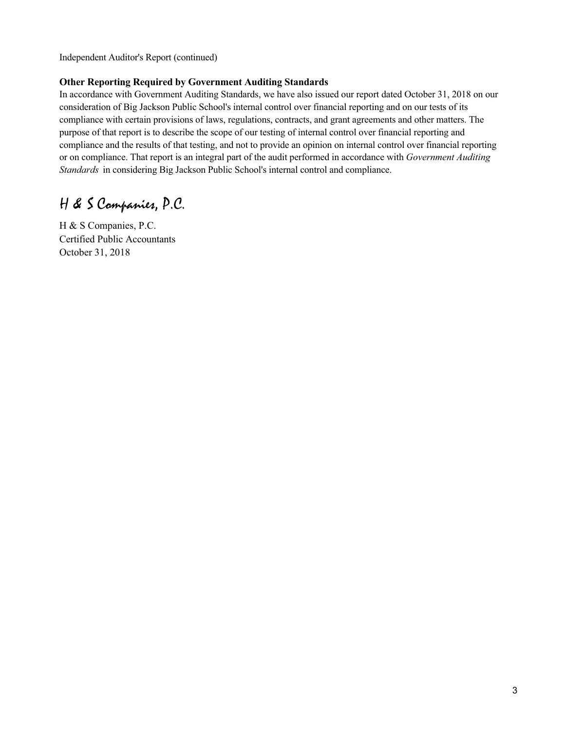Independent Auditor's Report (continued)

#### **Other Reporting Required by Government Auditing Standards**

In accordance with Government Auditing Standards, we have also issued our report dated October 31, 2018 on our consideration of Big Jackson Public School's internal control over financial reporting and on our tests of its compliance with certain provisions of laws, regulations, contracts, and grant agreements and other matters. The purpose of that report is to describe the scope of our testing of internal control over financial reporting and compliance and the results of that testing, and not to provide an opinion on internal control over financial reporting or on compliance. That report is an integral part of the audit performed in accordance with *Government Auditing Standards* in considering Big Jackson Public School's internal control and compliance.

# H *&* S Companies, P.C.

H & S Companies, P.C. Certified Public Accountants October 31, 2018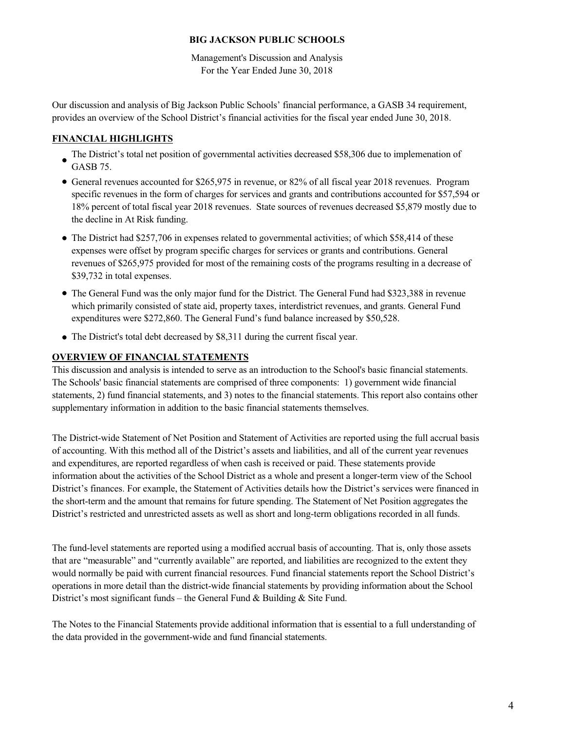Management's Discussion and Analysis For the Year Ended June 30, 2018

Our discussion and analysis of Big Jackson Public Schools' financial performance, a GASB 34 requirement, provides an overview of the School District's financial activities for the fiscal year ended June 30, 2018.

# **FINANCIAL HIGHLIGHTS**

- The District's total net position of governmental activities decreased \$58,306 due to implemenation of GASB 75.
- General revenues accounted for \$265,975 in revenue, or 82% of all fiscal year 2018 revenues. Program specific revenues in the form of charges for services and grants and contributions accounted for \$57,594 or 18% percent of total fiscal year 2018 revenues. State sources of revenues decreased \$5,879 mostly due to the decline in At Risk funding.
- The District had \$257,706 in expenses related to governmental activities; of which \$58,414 of these expenses were offset by program specific charges for services or grants and contributions. General revenues of \$265,975 provided for most of the remaining costs of the programs resulting in a decrease of \$39,732 in total expenses.
- The General Fund was the only major fund for the District. The General Fund had \$323,388 in revenue which primarily consisted of state aid, property taxes, interdistrict revenues, and grants. General Fund expenditures were \$272,860. The General Fund's fund balance increased by \$50,528.
- The District's total debt decreased by \$8,311 during the current fiscal year.

## **OVERVIEW OF FINANCIAL STATEMENTS**

This discussion and analysis is intended to serve as an introduction to the School's basic financial statements. The Schools' basic financial statements are comprised of three components: 1) government wide financial statements, 2) fund financial statements, and 3) notes to the financial statements. This report also contains other supplementary information in addition to the basic financial statements themselves.

The District-wide Statement of Net Position and Statement of Activities are reported using the full accrual basis of accounting. With this method all of the District's assets and liabilities, and all of the current year revenues and expenditures, are reported regardless of when cash is received or paid. These statements provide information about the activities of the School District as a whole and present a longer-term view of the School District's finances. For example, the Statement of Activities details how the District's services were financed in the short-term and the amount that remains for future spending. The Statement of Net Position aggregates the District's restricted and unrestricted assets as well as short and long-term obligations recorded in all funds.

The fund-level statements are reported using a modified accrual basis of accounting. That is, only those assets that are "measurable" and "currently available" are reported, and liabilities are recognized to the extent they would normally be paid with current financial resources. Fund financial statements report the School District's operations in more detail than the district-wide financial statements by providing information about the School District's most significant funds – the General Fund & Building & Site Fund.

The Notes to the Financial Statements provide additional information that is essential to a full understanding of the data provided in the government-wide and fund financial statements.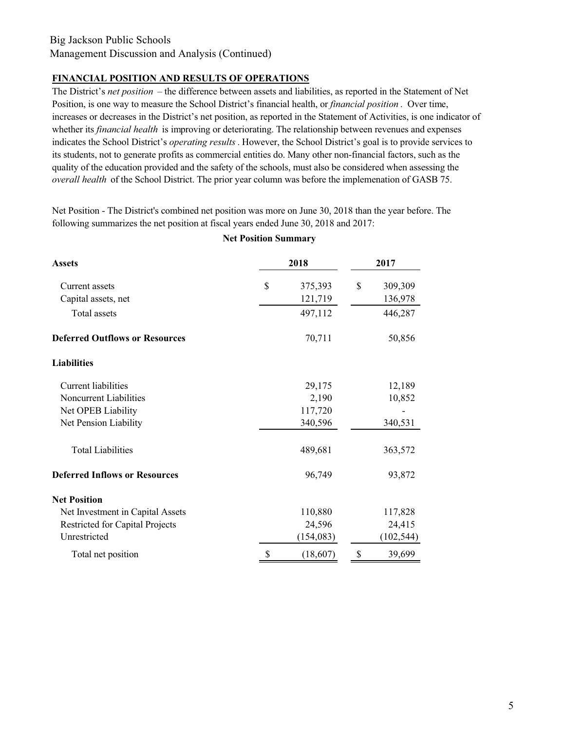# **FINANCIAL POSITION AND RESULTS OF OPERATIONS**

The District's *net position* – the difference between assets and liabilities, as reported in the Statement of Net Position, is one way to measure the School District's financial health, or *financial position* . Over time, increases or decreases in the District's net position, as reported in the Statement of Activities, is one indicator of whether its *financial health* is improving or deteriorating. The relationship between revenues and expenses indicates the School District's *operating results*. However, the School District's goal is to provide services to its students, not to generate profits as commercial entities do. Many other non-financial factors, such as the quality of the education provided and the safety of the schools, must also be considered when assessing the *overall health* of the School District. The prior year column was before the implemenation of GASB 75.

Net Position - The District's combined net position was more on June 30, 2018 than the year before. The following summarizes the net position at fiscal years ended June 30, 2018 and 2017:

| <b>Assets</b>                         | 2018 |            | 2017 |            |  |
|---------------------------------------|------|------------|------|------------|--|
| Current assets                        | \$   | 375,393    | \$   | 309,309    |  |
| Capital assets, net                   |      | 121,719    |      | 136,978    |  |
| Total assets                          |      | 497,112    |      | 446,287    |  |
| <b>Deferred Outflows or Resources</b> |      | 70,711     |      | 50,856     |  |
| <b>Liabilities</b>                    |      |            |      |            |  |
| <b>Current liabilities</b>            |      | 29,175     |      | 12,189     |  |
| <b>Noncurrent Liabilities</b>         |      | 2,190      |      | 10,852     |  |
| Net OPEB Liability                    |      | 117,720    |      |            |  |
| Net Pension Liability                 |      | 340,596    |      | 340,531    |  |
| <b>Total Liabilities</b>              |      | 489,681    |      | 363,572    |  |
| <b>Deferred Inflows or Resources</b>  |      | 96,749     |      | 93,872     |  |
| <b>Net Position</b>                   |      |            |      |            |  |
| Net Investment in Capital Assets      |      | 110,880    |      | 117,828    |  |
| Restricted for Capital Projects       |      | 24,596     |      | 24,415     |  |
| Unrestricted                          |      | (154, 083) |      | (102, 544) |  |
| Total net position                    | \$   | (18,607)   | \$   | 39,699     |  |

#### **Net Position Summary**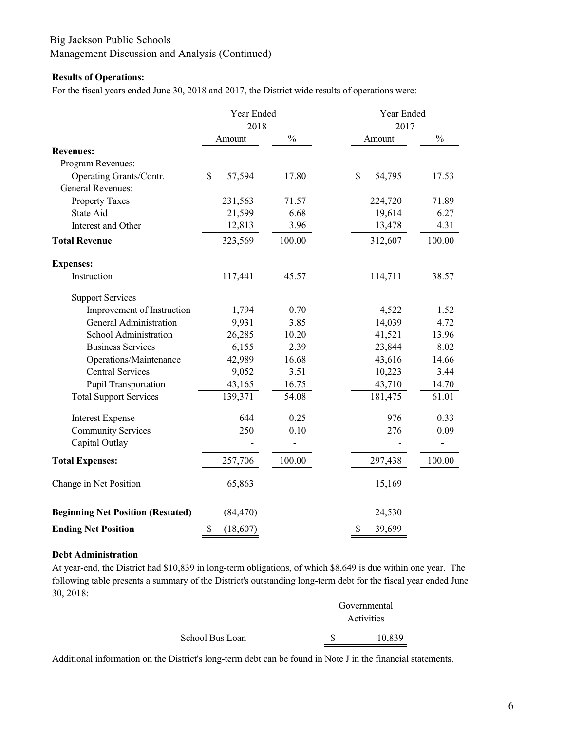## **Results of Operations:**

For the fiscal years ended June 30, 2018 and 2017, the District wide results of operations were:

|                                          | Year Ended<br>2018 |           | Year Ended        |                        |                              |
|------------------------------------------|--------------------|-----------|-------------------|------------------------|------------------------------|
|                                          |                    |           | 2017              |                        |                              |
|                                          |                    | Amount    | $\frac{0}{0}$     | Amount                 | $\frac{0}{0}$                |
| <b>Revenues:</b>                         |                    |           |                   |                        |                              |
| Program Revenues:                        |                    |           |                   |                        |                              |
| Operating Grants/Contr.                  | \$                 | 57,594    | 17.80             | $\mathbb{S}$<br>54,795 | 17.53                        |
| General Revenues:                        |                    |           |                   |                        |                              |
| <b>Property Taxes</b>                    |                    | 231,563   | 71.57             | 224,720                | 71.89                        |
| State Aid                                |                    | 21,599    | 6.68              | 19,614                 | 6.27                         |
| Interest and Other                       |                    | 12,813    | 3.96              | 13,478                 | 4.31                         |
| <b>Total Revenue</b>                     |                    | 323,569   | 100.00            | 312,607                | 100.00                       |
| <b>Expenses:</b>                         |                    |           |                   |                        |                              |
| Instruction                              |                    | 117,441   | 45.57             | 114,711                | 38.57                        |
| <b>Support Services</b>                  |                    |           |                   |                        |                              |
| Improvement of Instruction               |                    | 1,794     | 0.70              | 4,522                  | 1.52                         |
| General Administration                   |                    | 9,931     | 3.85              | 14,039                 | 4.72                         |
| School Administration                    |                    | 26,285    | 10.20             | 41,521                 | 13.96                        |
| <b>Business Services</b>                 |                    | 6,155     | 2.39              | 23,844                 | 8.02                         |
| Operations/Maintenance                   |                    | 42,989    | 16.68             | 43,616                 | 14.66                        |
| <b>Central Services</b>                  |                    | 9,052     | 3.51              | 10,223                 | 3.44                         |
| Pupil Transportation                     |                    | 43,165    | 16.75             | 43,710                 | 14.70                        |
| <b>Total Support Services</b>            |                    | 139,371   | 54.08             | 181,475                | 61.01                        |
| <b>Interest Expense</b>                  |                    | 644       | 0.25              | 976                    | 0.33                         |
| <b>Community Services</b>                |                    | 250       | 0.10              | 276                    | 0.09                         |
| Capital Outlay                           |                    |           | $\qquad \qquad -$ |                        | $\qquad \qquad \blacksquare$ |
| <b>Total Expenses:</b>                   |                    | 257,706   | 100.00            | 297,438                | 100.00                       |
| Change in Net Position                   |                    | 65,863    |                   | 15,169                 |                              |
| <b>Beginning Net Position (Restated)</b> |                    | (84, 470) |                   | 24,530                 |                              |
| <b>Ending Net Position</b>               | \$                 | (18,607)  |                   | \$<br>39,699           |                              |

#### **Debt Administration**

At year-end, the District had \$10,839 in long-term obligations, of which \$8,649 is due within one year. The following table presents a summary of the District's outstanding long-term debt for the fiscal year ended June 30, 2018:

|                 | Governmental<br>Activities |
|-----------------|----------------------------|
| School Bus Loan | 10,839                     |

Additional information on the District's long-term debt can be found in Note J in the financial statements.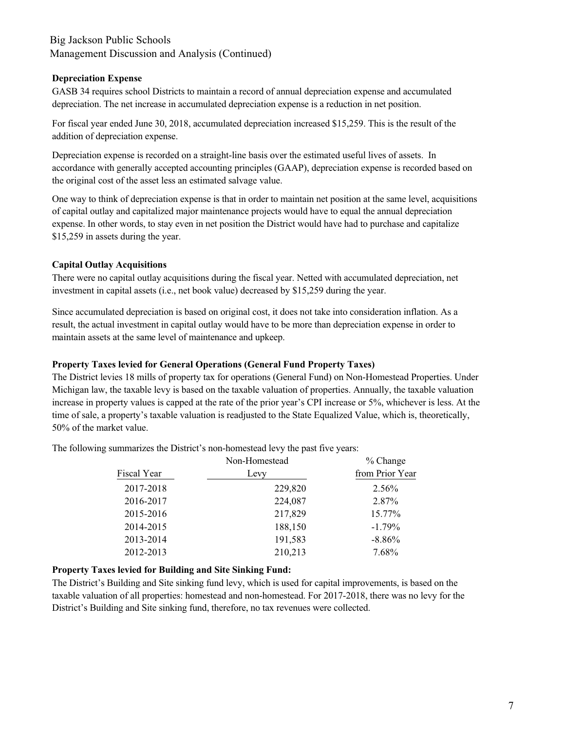# **Depreciation Expense**

GASB 34 requires school Districts to maintain a record of annual depreciation expense and accumulated depreciation. The net increase in accumulated depreciation expense is a reduction in net position.

For fiscal year ended June 30, 2018, accumulated depreciation increased \$15,259. This is the result of the addition of depreciation expense.

Depreciation expense is recorded on a straight-line basis over the estimated useful lives of assets. In accordance with generally accepted accounting principles (GAAP), depreciation expense is recorded based on the original cost of the asset less an estimated salvage value.

One way to think of depreciation expense is that in order to maintain net position at the same level, acquisitions of capital outlay and capitalized major maintenance projects would have to equal the annual depreciation expense. In other words, to stay even in net position the District would have had to purchase and capitalize \$15,259 in assets during the year.

## **Capital Outlay Acquisitions**

There were no capital outlay acquisitions during the fiscal year. Netted with accumulated depreciation, net investment in capital assets (i.e., net book value) decreased by \$15,259 during the year.

Since accumulated depreciation is based on original cost, it does not take into consideration inflation. As a result, the actual investment in capital outlay would have to be more than depreciation expense in order to maintain assets at the same level of maintenance and upkeep.

#### **Property Taxes levied for General Operations (General Fund Property Taxes)**

The District levies 18 mills of property tax for operations (General Fund) on Non-Homestead Properties. Under Michigan law, the taxable levy is based on the taxable valuation of properties. Annually, the taxable valuation increase in property values is capped at the rate of the prior year's CPI increase or 5%, whichever is less. At the time of sale, a property's taxable valuation is readjusted to the State Equalized Value, which is, theoretically, 50% of the market value.

The following summarizes the District's non-homestead levy the past five years:

|             | Non-Homestead | $%$ Change      |
|-------------|---------------|-----------------|
| Fiscal Year | Levy          | from Prior Year |
| 2017-2018   | 229,820       | $2.56\%$        |
| 2016-2017   | 224,087       | 2.87%           |
| 2015-2016   | 217,829       | 15.77%          |
| 2014-2015   | 188,150       | $-1.79\%$       |
| 2013-2014   | 191,583       | $-8.86\%$       |
| 2012-2013   | 210,213       | 7.68%           |

#### **Property Taxes levied for Building and Site Sinking Fund:**

The District's Building and Site sinking fund levy, which is used for capital improvements, is based on the taxable valuation of all properties: homestead and non-homestead. For 2017-2018, there was no levy for the District's Building and Site sinking fund, therefore, no tax revenues were collected.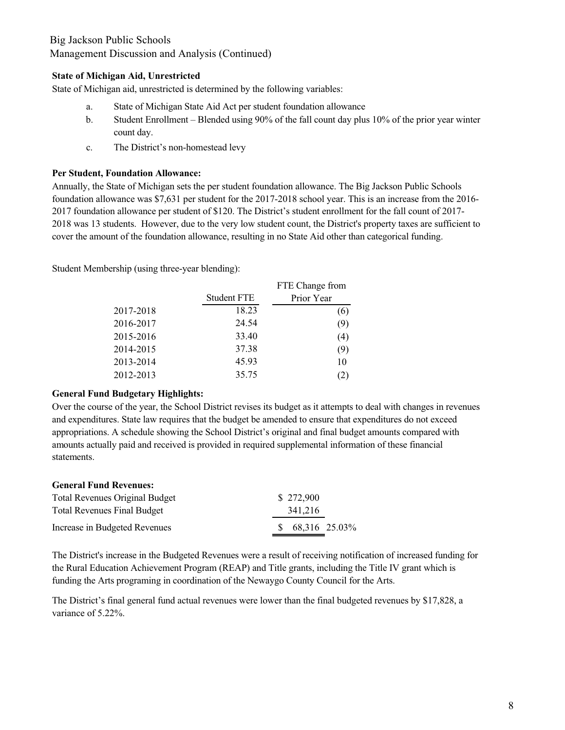# **State of Michigan Aid, Unrestricted**

State of Michigan aid, unrestricted is determined by the following variables:

- a. State of Michigan State Aid Act per student foundation allowance
- b. Student Enrollment – Blended using 90% of the fall count day plus 10% of the prior year winter count day.
- c. The District's non-homestead levy

#### **Per Student, Foundation Allowance:**

Annually, the State of Michigan sets the per student foundation allowance. The Big Jackson Public Schools foundation allowance was \$7,631 per student for the 2017-2018 school year. This is an increase from the 2016- 2017 foundation allowance per student of \$120. The District's student enrollment for the fall count of 2017- 2018 was 13 students. However, due to the very low student count, the District's property taxes are sufficient to cover the amount of the foundation allowance, resulting in no State Aid other than categorical funding.

Student Membership (using three-year blending):

|           |                    | FTE Change from |
|-----------|--------------------|-----------------|
|           | <b>Student FTE</b> | Prior Year      |
| 2017-2018 | 18.23              | (6)             |
| 2016-2017 | 24.54              | (9)             |
| 2015-2016 | 33.40              | (4)             |
| 2014-2015 | 37.38              | (9)             |
| 2013-2014 | 45.93              | 10              |
| 2012-2013 | 35.75              | (2)             |
|           |                    |                 |

#### **General Fund Budgetary Highlights:**

Over the course of the year, the School District revises its budget as it attempts to deal with changes in revenues and expenditures. State law requires that the budget be amended to ensure that expenditures do not exceed appropriations. A schedule showing the School District's original and final budget amounts compared with amounts actually paid and received is provided in required supplemental information of these financial statements.

| <b>General Fund Revenues:</b>      |     |           |               |
|------------------------------------|-----|-----------|---------------|
| Total Revenues Original Budget     |     | \$272,900 |               |
| <b>Total Revenues Final Budget</b> |     | 341,216   |               |
| Increase in Budgeted Revenues      | SS. |           | 68,316 25.03% |

The District's increase in the Budgeted Revenues were a result of receiving notification of increased funding for the Rural Education Achievement Program (REAP) and Title grants, including the Title IV grant which is funding the Arts programing in coordination of the Newaygo County Council for the Arts.

The District's final general fund actual revenues were lower than the final budgeted revenues by \$17,828, a variance of 5.22%.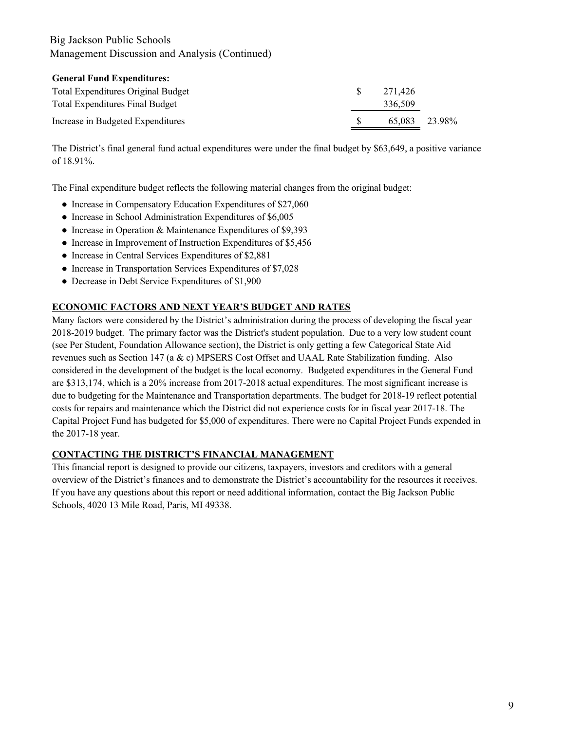| <b>General Fund Expenditures:</b>      |         |               |
|----------------------------------------|---------|---------------|
| Total Expenditures Original Budget     | 271.426 |               |
| <b>Total Expenditures Final Budget</b> | 336.509 |               |
| Increase in Budgeted Expenditures      |         | 65.083 23.98% |

The District's final general fund actual expenditures were under the final budget by \$63,649, a positive variance of 18.91%.

The Final expenditure budget reflects the following material changes from the original budget:

- Increase in Compensatory Education Expenditures of \$27,060
- Increase in School Administration Expenditures of \$6,005
- Increase in Operation & Maintenance Expenditures of \$9,393
- Increase in Improvement of Instruction Expenditures of \$5,456
- Increase in Central Services Expenditures of \$2,881
- Increase in Transportation Services Expenditures of \$7,028
- Decrease in Debt Service Expenditures of \$1,900

# **ECONOMIC FACTORS AND NEXT YEAR'S BUDGET AND RATES**

Many factors were considered by the District's administration during the process of developing the fiscal year 2018-2019 budget. The primary factor was the District's student population. Due to a very low student count (see Per Student, Foundation Allowance section), the District is only getting a few Categorical State Aid revenues such as Section 147 (a & c) MPSERS Cost Offset and UAAL Rate Stabilization funding. Also considered in the development of the budget is the local economy. Budgeted expenditures in the General Fund are \$313,174, which is a 20% increase from 2017-2018 actual expenditures. The most significant increase is due to budgeting for the Maintenance and Transportation departments. The budget for 2018-19 reflect potential costs for repairs and maintenance which the District did not experience costs for in fiscal year 2017-18. The Capital Project Fund has budgeted for \$5,000 of expenditures. There were no Capital Project Funds expended in the 2017-18 year.

#### **CONTACTING THE DISTRICT'S FINANCIAL MANAGEMENT**

This financial report is designed to provide our citizens, taxpayers, investors and creditors with a general overview of the District's finances and to demonstrate the District's accountability for the resources it receives. If you have any questions about this report or need additional information, contact the Big Jackson Public Schools, 4020 13 Mile Road, Paris, MI 49338.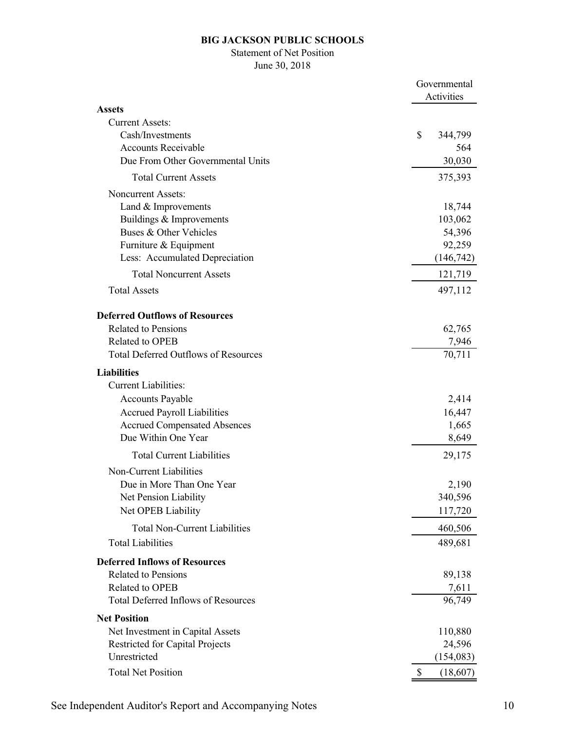# Statement of Net Position June 30, 2018

|                                             | Governmental<br>Activities |
|---------------------------------------------|----------------------------|
| <b>Assets</b>                               |                            |
| <b>Current Assets:</b>                      |                            |
| Cash/Investments                            | \$<br>344,799              |
| <b>Accounts Receivable</b>                  | 564                        |
| Due From Other Governmental Units           | 30,030                     |
| <b>Total Current Assets</b>                 | 375,393                    |
| <b>Noncurrent Assets:</b>                   |                            |
| Land & Improvements                         | 18,744                     |
| Buildings & Improvements                    | 103,062                    |
| Buses & Other Vehicles                      | 54,396                     |
| Furniture & Equipment                       | 92,259                     |
| Less: Accumulated Depreciation              | (146, 742)                 |
| <b>Total Noncurrent Assets</b>              | 121,719                    |
| <b>Total Assets</b>                         | 497,112                    |
| <b>Deferred Outflows of Resources</b>       |                            |
| <b>Related to Pensions</b>                  | 62,765                     |
| Related to OPEB                             | 7,946                      |
| <b>Total Deferred Outflows of Resources</b> | 70,711                     |
| <b>Liabilities</b>                          |                            |
| <b>Current Liabilities:</b>                 |                            |
| <b>Accounts Payable</b>                     | 2,414                      |
| <b>Accrued Payroll Liabilities</b>          | 16,447                     |
| <b>Accrued Compensated Absences</b>         | 1,665                      |
| Due Within One Year                         | 8,649                      |
| <b>Total Current Liabilities</b>            | 29,175                     |
| Non-Current Liabilities                     |                            |
| Due in More Than One Year                   | 2,190                      |
| Net Pension Liability                       | 340,596                    |
| Net OPEB Liability                          | 117,720                    |
| <b>Total Non-Current Liabilities</b>        | 460,506                    |
| <b>Total Liabilities</b>                    | 489,681                    |
| <b>Deferred Inflows of Resources</b>        |                            |
| <b>Related to Pensions</b>                  | 89,138                     |
| Related to OPEB                             | 7,611                      |
| <b>Total Deferred Inflows of Resources</b>  | 96,749                     |
| <b>Net Position</b>                         |                            |
| Net Investment in Capital Assets            | 110,880                    |
| <b>Restricted for Capital Projects</b>      | 24,596                     |
| Unrestricted                                | (154, 083)                 |
| <b>Total Net Position</b>                   | \$<br>(18,607)             |

See Independent Auditor's Report and Accompanying Notes 10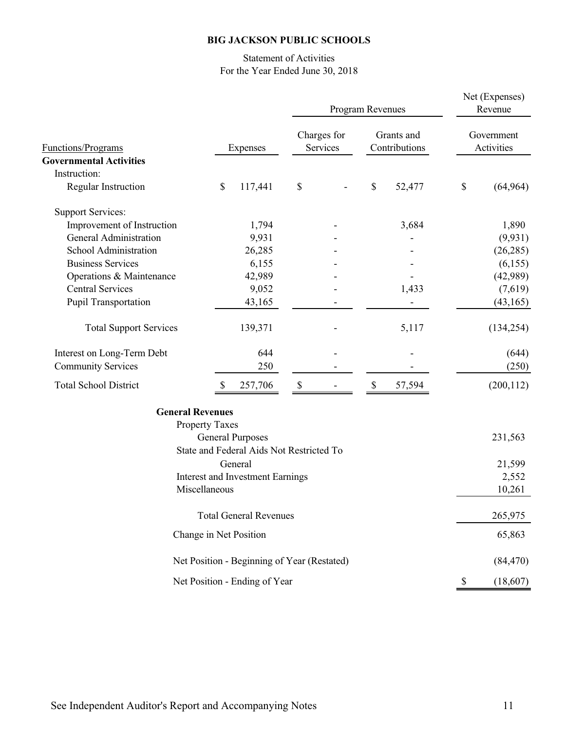# Statement of Activities For the Year Ended June 30, 2018

| Functions/Programs             |                       |                                                                     |      | Program Revenues        |                           |                             | Net (Expenses)<br>Revenue |                          |
|--------------------------------|-----------------------|---------------------------------------------------------------------|------|-------------------------|---------------------------|-----------------------------|---------------------------|--------------------------|
|                                |                       | Expenses                                                            |      | Charges for<br>Services |                           | Grants and<br>Contributions |                           | Government<br>Activities |
| <b>Governmental Activities</b> |                       |                                                                     |      |                         |                           |                             |                           |                          |
| Instruction:                   |                       |                                                                     |      |                         |                           |                             |                           |                          |
| <b>Regular Instruction</b>     | \$                    | 117,441                                                             | $\$$ |                         | $\boldsymbol{\mathsf{S}}$ | 52,477                      | \$                        | (64, 964)                |
| <b>Support Services:</b>       |                       |                                                                     |      |                         |                           |                             |                           |                          |
| Improvement of Instruction     |                       | 1,794                                                               |      |                         |                           | 3,684                       |                           | 1,890                    |
| <b>General Administration</b>  |                       | 9,931                                                               |      |                         |                           |                             |                           | (9, 931)                 |
| School Administration          |                       | 26,285                                                              |      |                         |                           |                             |                           | (26, 285)                |
| <b>Business Services</b>       |                       | 6,155                                                               |      |                         |                           |                             |                           | (6,155)                  |
| Operations & Maintenance       |                       | 42,989                                                              |      |                         |                           |                             |                           | (42,989)                 |
| <b>Central Services</b>        |                       | 9,052                                                               |      |                         |                           | 1,433                       |                           | (7,619)                  |
| <b>Pupil Transportation</b>    |                       | 43,165                                                              |      |                         |                           |                             |                           | (43, 165)                |
| <b>Total Support Services</b>  |                       | 139,371                                                             |      |                         |                           | 5,117                       |                           | (134, 254)               |
| Interest on Long-Term Debt     |                       | 644                                                                 |      |                         |                           |                             |                           | (644)                    |
| <b>Community Services</b>      |                       | 250                                                                 |      |                         |                           |                             |                           | (250)                    |
| <b>Total School District</b>   | \$                    | 257,706                                                             | \$   |                         | \$                        | 57,594                      |                           | (200, 112)               |
| <b>General Revenues</b>        | <b>Property Taxes</b> |                                                                     |      |                         |                           |                             |                           |                          |
|                                |                       | <b>General Purposes</b><br>State and Federal Aids Not Restricted To |      |                         |                           |                             |                           | 231,563                  |
|                                |                       | General                                                             |      |                         |                           |                             |                           | 21,599                   |
|                                |                       | Interest and Investment Earnings                                    |      |                         |                           |                             |                           | 2,552                    |
|                                | Miscellaneous         |                                                                     |      |                         |                           |                             |                           | 10,261                   |
|                                |                       |                                                                     |      |                         |                           |                             |                           |                          |
|                                |                       | <b>Total General Revenues</b>                                       |      |                         |                           |                             |                           | 265,975                  |
|                                |                       | Change in Net Position                                              |      |                         |                           |                             |                           | 65,863                   |
|                                |                       | Net Position - Beginning of Year (Restated)                         |      |                         |                           |                             |                           | (84, 470)                |
|                                |                       | Net Position - Ending of Year                                       |      |                         |                           |                             | \$                        | (18,607)                 |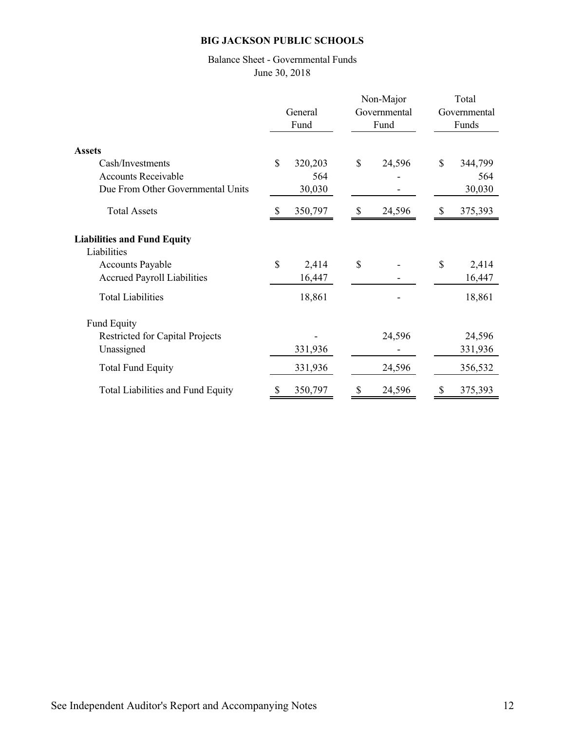# Balance Sheet - Governmental Funds June 30, 2018

|                                                   | General<br>Fund |         |    | Non-Major<br>Governmental<br>Fund |    | Total<br>Governmental<br>Funds |  |
|---------------------------------------------------|-----------------|---------|----|-----------------------------------|----|--------------------------------|--|
| <b>Assets</b>                                     |                 |         |    |                                   |    |                                |  |
| Cash/Investments                                  | \$              | 320,203 | \$ | 24,596                            | \$ | 344,799                        |  |
| <b>Accounts Receivable</b>                        |                 | 564     |    |                                   |    | 564                            |  |
| Due From Other Governmental Units                 |                 | 30,030  |    |                                   |    | 30,030                         |  |
| <b>Total Assets</b>                               |                 | 350,797 | S  | 24,596                            | S  | 375,393                        |  |
| <b>Liabilities and Fund Equity</b><br>Liabilities |                 |         |    |                                   |    |                                |  |
| <b>Accounts Payable</b>                           | \$              | 2,414   | \$ |                                   | \$ | 2,414                          |  |
| <b>Accrued Payroll Liabilities</b>                |                 | 16,447  |    |                                   |    | 16,447                         |  |
| <b>Total Liabilities</b>                          |                 | 18,861  |    |                                   |    | 18,861                         |  |
| Fund Equity                                       |                 |         |    |                                   |    |                                |  |
| Restricted for Capital Projects                   |                 |         |    | 24,596                            |    | 24,596                         |  |
| Unassigned                                        |                 | 331,936 |    |                                   |    | 331,936                        |  |
| <b>Total Fund Equity</b>                          |                 | 331,936 |    | 24,596                            |    | 356,532                        |  |
| <b>Total Liabilities and Fund Equity</b>          | S               | 350,797 | \$ | 24,596                            | S  | 375,393                        |  |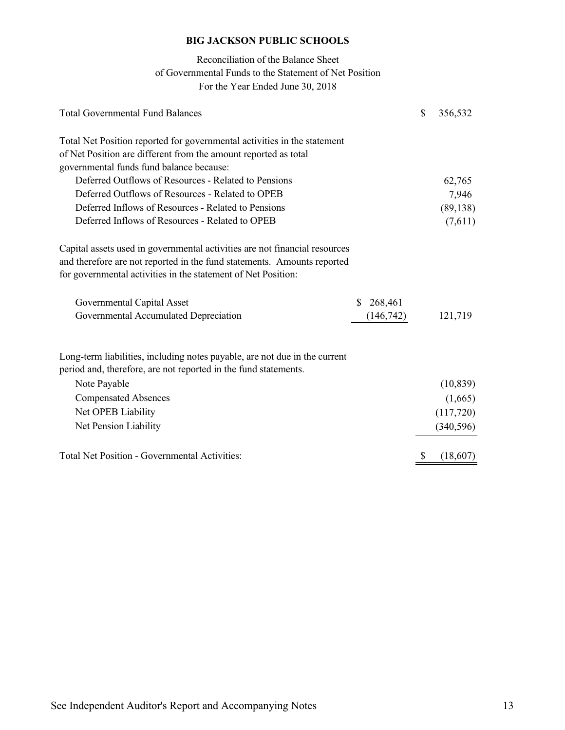# Reconciliation of the Balance Sheet of Governmental Funds to the Statement of Net Position For the Year Ended June 30, 2018

| <b>Total Governmental Fund Balances</b>                                                                                                                                                                                |            | $\mathbb{S}$ | 356,532    |
|------------------------------------------------------------------------------------------------------------------------------------------------------------------------------------------------------------------------|------------|--------------|------------|
| Total Net Position reported for governmental activities in the statement<br>of Net Position are different from the amount reported as total<br>governmental funds fund balance because:                                |            |              |            |
| Deferred Outflows of Resources - Related to Pensions                                                                                                                                                                   |            |              | 62,765     |
| Deferred Outflows of Resources - Related to OPEB                                                                                                                                                                       |            |              | 7,946      |
| Deferred Inflows of Resources - Related to Pensions                                                                                                                                                                    |            |              | (89, 138)  |
| Deferred Inflows of Resources - Related to OPEB                                                                                                                                                                        |            |              | (7,611)    |
| Capital assets used in governmental activities are not financial resources<br>and therefore are not reported in the fund statements. Amounts reported<br>for governmental activities in the statement of Net Position: |            |              |            |
| Governmental Capital Asset                                                                                                                                                                                             | 268,461    |              |            |
| Governmental Accumulated Depreciation                                                                                                                                                                                  | (146, 742) |              | 121,719    |
| Long-term liabilities, including notes payable, are not due in the current<br>period and, therefore, are not reported in the fund statements.                                                                          |            |              |            |
| Note Payable                                                                                                                                                                                                           |            |              | (10, 839)  |
| <b>Compensated Absences</b>                                                                                                                                                                                            |            |              | (1,665)    |
| Net OPEB Liability                                                                                                                                                                                                     |            |              | (117,720)  |
| Net Pension Liability                                                                                                                                                                                                  |            |              | (340, 596) |
| <b>Total Net Position - Governmental Activities:</b>                                                                                                                                                                   |            | S            | (18,607)   |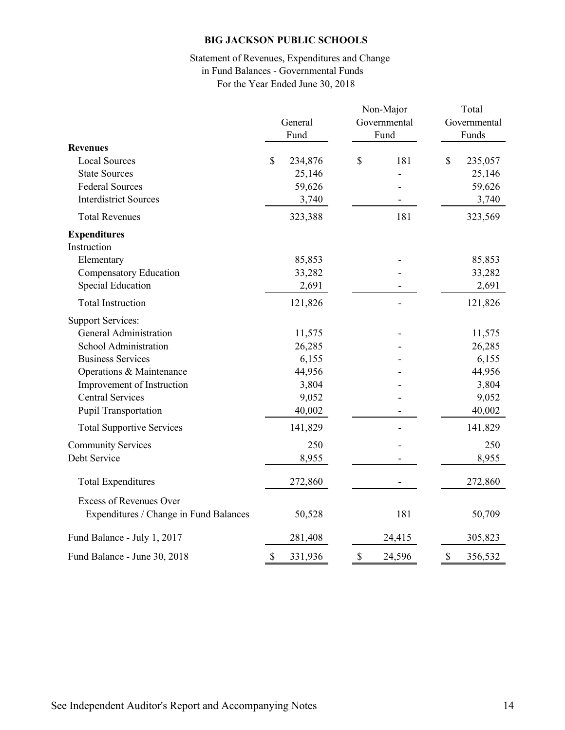# Statement of Revenues, Expenditures and Change For the Year Ended June 30, 2018 in Fund Balances - Governmental Funds

|                                        | General<br>Fund |             | Non-Major<br>Governmental<br>Fund | Total<br>Governmental<br>Funds |
|----------------------------------------|-----------------|-------------|-----------------------------------|--------------------------------|
| <b>Revenues</b>                        |                 |             |                                   |                                |
| <b>Local Sources</b>                   | \$<br>234,876   | \$          | 181                               | \$<br>235,057                  |
| <b>State Sources</b>                   | 25,146          |             |                                   | 25,146                         |
| <b>Federal Sources</b>                 | 59,626          |             |                                   | 59,626                         |
| <b>Interdistrict Sources</b>           | 3,740           |             |                                   | 3,740                          |
| <b>Total Revenues</b>                  | 323,388         |             | 181                               | 323,569                        |
| <b>Expenditures</b>                    |                 |             |                                   |                                |
| Instruction                            |                 |             |                                   |                                |
| Elementary                             | 85,853          |             |                                   | 85,853                         |
| Compensatory Education                 | 33,282          |             |                                   | 33,282                         |
| <b>Special Education</b>               | 2,691           |             |                                   | 2,691                          |
| <b>Total Instruction</b>               | 121,826         |             |                                   | 121,826                        |
| <b>Support Services:</b>               |                 |             |                                   |                                |
| <b>General Administration</b>          | 11,575          |             |                                   | 11,575                         |
| School Administration                  | 26,285          |             |                                   | 26,285                         |
| <b>Business Services</b>               | 6,155           |             |                                   | 6,155                          |
| Operations & Maintenance               | 44,956          |             |                                   | 44,956                         |
| Improvement of Instruction             | 3,804           |             |                                   | 3,804                          |
| <b>Central Services</b>                | 9,052           |             |                                   | 9,052                          |
| <b>Pupil Transportation</b>            | 40,002          |             |                                   | 40,002                         |
| <b>Total Supportive Services</b>       | 141,829         |             |                                   | 141,829                        |
| <b>Community Services</b>              | 250             |             |                                   | 250                            |
| Debt Service                           | 8,955           |             |                                   | 8,955                          |
| <b>Total Expenditures</b>              | 272,860         |             |                                   | 272,860                        |
| <b>Excess of Revenues Over</b>         |                 |             |                                   |                                |
| Expenditures / Change in Fund Balances | 50,528          |             | 181                               | 50,709                         |
| Fund Balance - July 1, 2017            | 281,408         |             | 24,415                            | 305,823                        |
| Fund Balance - June 30, 2018           | \$<br>331,936   | $\mathbb S$ | 24,596                            | \$<br>356,532                  |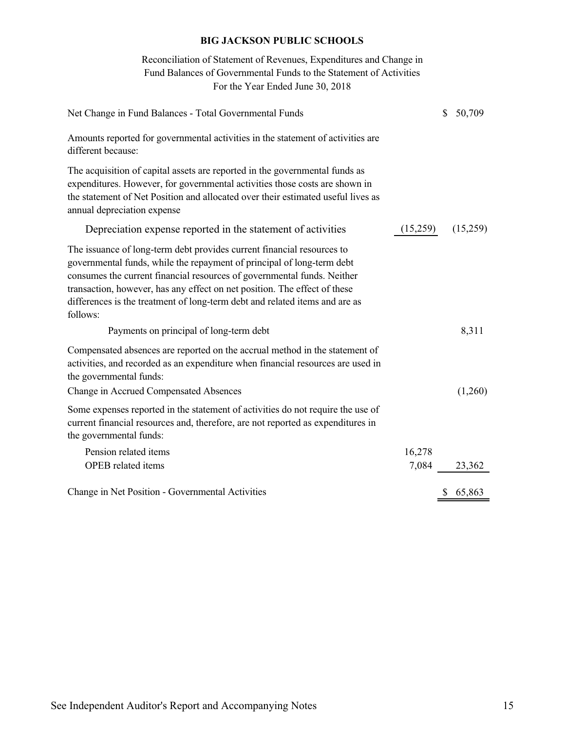# Reconciliation of Statement of Revenues, Expenditures and Change in Fund Balances of Governmental Funds to the Statement of Activities For the Year Ended June 30, 2018

| Net Change in Fund Balances - Total Governmental Funds                                                                                                                                                                                                                                                                                                                                              |          | $\mathbb{S}$ | 50,709   |
|-----------------------------------------------------------------------------------------------------------------------------------------------------------------------------------------------------------------------------------------------------------------------------------------------------------------------------------------------------------------------------------------------------|----------|--------------|----------|
| Amounts reported for governmental activities in the statement of activities are<br>different because:                                                                                                                                                                                                                                                                                               |          |              |          |
| The acquisition of capital assets are reported in the governmental funds as<br>expenditures. However, for governmental activities those costs are shown in<br>the statement of Net Position and allocated over their estimated useful lives as<br>annual depreciation expense                                                                                                                       |          |              |          |
| Depreciation expense reported in the statement of activities                                                                                                                                                                                                                                                                                                                                        | (15,259) |              | (15,259) |
| The issuance of long-term debt provides current financial resources to<br>governmental funds, while the repayment of principal of long-term debt<br>consumes the current financial resources of governmental funds. Neither<br>transaction, however, has any effect on net position. The effect of these<br>differences is the treatment of long-term debt and related items and are as<br>follows: |          |              |          |
| Payments on principal of long-term debt                                                                                                                                                                                                                                                                                                                                                             |          |              | 8,311    |
| Compensated absences are reported on the accrual method in the statement of<br>activities, and recorded as an expenditure when financial resources are used in<br>the governmental funds:                                                                                                                                                                                                           |          |              |          |
| Change in Accrued Compensated Absences                                                                                                                                                                                                                                                                                                                                                              |          |              | (1,260)  |
| Some expenses reported in the statement of activities do not require the use of<br>current financial resources and, therefore, are not reported as expenditures in<br>the governmental funds:                                                                                                                                                                                                       |          |              |          |
| Pension related items                                                                                                                                                                                                                                                                                                                                                                               | 16,278   |              |          |
| <b>OPEB</b> related items                                                                                                                                                                                                                                                                                                                                                                           | 7,084    |              | 23,362   |
| Change in Net Position - Governmental Activities                                                                                                                                                                                                                                                                                                                                                    |          |              | \$65,863 |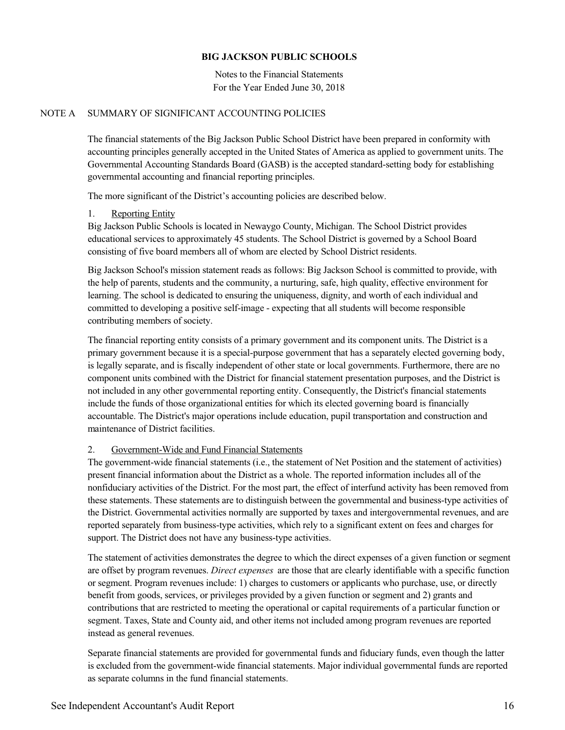Notes to the Financial Statements For the Year Ended June 30, 2018

#### NOTE A SUMMARY OF SIGNIFICANT ACCOUNTING POLICIES

The financial statements of the Big Jackson Public School District have been prepared in conformity with accounting principles generally accepted in the United States of America as applied to government units. The Governmental Accounting Standards Board (GASB) is the accepted standard-setting body for establishing governmental accounting and financial reporting principles.

The more significant of the District's accounting policies are described below.

#### 1. Reporting Entity

Big Jackson Public Schools is located in Newaygo County, Michigan. The School District provides educational services to approximately 45 students. The School District is governed by a School Board consisting of five board members all of whom are elected by School District residents.

Big Jackson School's mission statement reads as follows: Big Jackson School is committed to provide, with the help of parents, students and the community, a nurturing, safe, high quality, effective environment for learning. The school is dedicated to ensuring the uniqueness, dignity, and worth of each individual and committed to developing a positive self-image - expecting that all students will become responsible contributing members of society.

The financial reporting entity consists of a primary government and its component units. The District is a primary government because it is a special-purpose government that has a separately elected governing body, is legally separate, and is fiscally independent of other state or local governments. Furthermore, there are no component units combined with the District for financial statement presentation purposes, and the District is not included in any other governmental reporting entity. Consequently, the District's financial statements include the funds of those organizational entities for which its elected governing board is financially accountable. The District's major operations include education, pupil transportation and construction and maintenance of District facilities.

#### 2. Government-Wide and Fund Financial Statements

The government-wide financial statements (i.e., the statement of Net Position and the statement of activities) present financial information about the District as a whole. The reported information includes all of the nonfiduciary activities of the District. For the most part, the effect of interfund activity has been removed from these statements. These statements are to distinguish between the governmental and business-type activities of the District. Governmental activities normally are supported by taxes and intergovernmental revenues, and are reported separately from business-type activities, which rely to a significant extent on fees and charges for support. The District does not have any business-type activities.

The statement of activities demonstrates the degree to which the direct expenses of a given function or segment are offset by program revenues. *Direct expenses* are those that are clearly identifiable with a specific function or segment. Program revenues include: 1) charges to customers or applicants who purchase, use, or directly benefit from goods, services, or privileges provided by a given function or segment and 2) grants and contributions that are restricted to meeting the operational or capital requirements of a particular function or segment. Taxes, State and County aid, and other items not included among program revenues are reported instead as general revenues.

Separate financial statements are provided for governmental funds and fiduciary funds, even though the latter is excluded from the government-wide financial statements. Major individual governmental funds are reported as separate columns in the fund financial statements.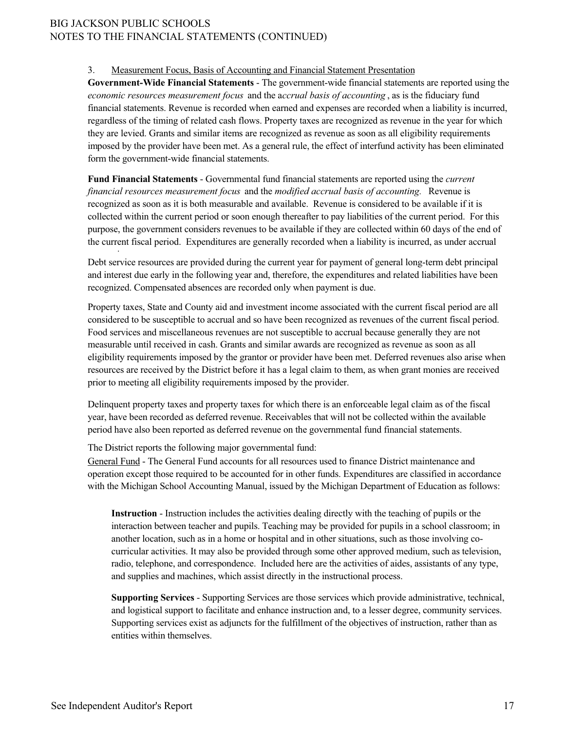#### 3. Measurement Focus, Basis of Accounting and Financial Statement Presentation

**Government-Wide Financial Statements** - The government-wide financial statements are reported using the *economic resources measurement focus* and the a*ccrual basis of accounting* , as is the fiduciary fund financial statements. Revenue is recorded when earned and expenses are recorded when a liability is incurred, regardless of the timing of related cash flows. Property taxes are recognized as revenue in the year for which they are levied. Grants and similar items are recognized as revenue as soon as all eligibility requirements imposed by the provider have been met. As a general rule, the effect of interfund activity has been eliminated form the government-wide financial statements.

**Fund Financial Statements** - Governmental fund financial statements are reported using the *current financial resources measurement focus* and the *modified accrual basis of accounting.* Revenue is recognized as soon as it is both measurable and available. Revenue is considered to be available if it is collected within the current period or soon enough thereafter to pay liabilities of the current period. For this purpose, the government considers revenues to be available if they are collected within 60 days of the end of the current fiscal period. Expenditures are generally recorded when a liability is incurred, as under accrual

i Debt service resources are provided during the current year for payment of general long-term debt principal and interest due early in the following year and, therefore, the expenditures and related liabilities have been recognized. Compensated absences are recorded only when payment is due.

Property taxes, State and County aid and investment income associated with the current fiscal period are all considered to be susceptible to accrual and so have been recognized as revenues of the current fiscal period. Food services and miscellaneous revenues are not susceptible to accrual because generally they are not measurable until received in cash. Grants and similar awards are recognized as revenue as soon as all eligibility requirements imposed by the grantor or provider have been met. Deferred revenues also arise when resources are received by the District before it has a legal claim to them, as when grant monies are received prior to meeting all eligibility requirements imposed by the provider.

Delinquent property taxes and property taxes for which there is an enforceable legal claim as of the fiscal year, have been recorded as deferred revenue. Receivables that will not be collected within the available period have also been reported as deferred revenue on the governmental fund financial statements.

The District reports the following major governmental fund:

General Fund - The General Fund accounts for all resources used to finance District maintenance and operation except those required to be accounted for in other funds. Expenditures are classified in accordance with the Michigan School Accounting Manual, issued by the Michigan Department of Education as follows:

**Instruction** - Instruction includes the activities dealing directly with the teaching of pupils or the interaction between teacher and pupils. Teaching may be provided for pupils in a school classroom; in another location, such as in a home or hospital and in other situations, such as those involving cocurricular activities. It may also be provided through some other approved medium, such as television, radio, telephone, and correspondence. Included here are the activities of aides, assistants of any type, and supplies and machines, which assist directly in the instructional process.

**Supporting Services** - Supporting Services are those services which provide administrative, technical, and logistical support to facilitate and enhance instruction and, to a lesser degree, community services. Supporting services exist as adjuncts for the fulfillment of the objectives of instruction, rather than as entities within themselves.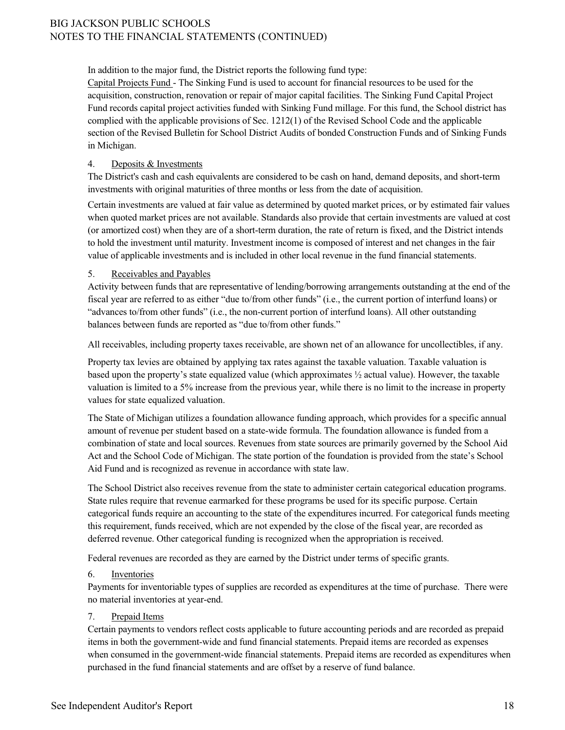In addition to the major fund, the District reports the following fund type:

Capital Projects Fund - The Sinking Fund is used to account for financial resources to be used for the acquisition, construction, renovation or repair of major capital facilities. The Sinking Fund Capital Project Fund records capital project activities funded with Sinking Fund millage. For this fund, the School district has complied with the applicable provisions of Sec. 1212(1) of the Revised School Code and the applicable section of the Revised Bulletin for School District Audits of bonded Construction Funds and of Sinking Funds in Michigan.

## 4. Deposits & Investments

The District's cash and cash equivalents are considered to be cash on hand, demand deposits, and short-term investments with original maturities of three months or less from the date of acquisition.

Certain investments are valued at fair value as determined by quoted market prices, or by estimated fair values when quoted market prices are not available. Standards also provide that certain investments are valued at cost (or amortized cost) when they are of a short-term duration, the rate of return is fixed, and the District intends to hold the investment until maturity. Investment income is composed of interest and net changes in the fair value of applicable investments and is included in other local revenue in the fund financial statements.

#### 5. Receivables and Payables

Activity between funds that are representative of lending/borrowing arrangements outstanding at the end of the fiscal year are referred to as either "due to/from other funds" (i.e., the current portion of interfund loans) or "advances to/from other funds" (i.e., the non-current portion of interfund loans). All other outstanding balances between funds are reported as "due to/from other funds."

All receivables, including property taxes receivable, are shown net of an allowance for uncollectibles, if any.

Property tax levies are obtained by applying tax rates against the taxable valuation. Taxable valuation is based upon the property's state equalized value (which approximates ½ actual value). However, the taxable valuation is limited to a 5% increase from the previous year, while there is no limit to the increase in property values for state equalized valuation.

The State of Michigan utilizes a foundation allowance funding approach, which provides for a specific annual amount of revenue per student based on a state-wide formula. The foundation allowance is funded from a combination of state and local sources. Revenues from state sources are primarily governed by the School Aid Act and the School Code of Michigan. The state portion of the foundation is provided from the state's School Aid Fund and is recognized as revenue in accordance with state law.

The School District also receives revenue from the state to administer certain categorical education programs. State rules require that revenue earmarked for these programs be used for its specific purpose. Certain categorical funds require an accounting to the state of the expenditures incurred. For categorical funds meeting this requirement, funds received, which are not expended by the close of the fiscal year, are recorded as deferred revenue. Other categorical funding is recognized when the appropriation is received.

Federal revenues are recorded as they are earned by the District under terms of specific grants.

#### 6. Inventories

Payments for inventoriable types of supplies are recorded as expenditures at the time of purchase. There were no material inventories at year-end.

#### 7. Prepaid Items

Certain payments to vendors reflect costs applicable to future accounting periods and are recorded as prepaid items in both the government-wide and fund financial statements. Prepaid items are recorded as expenses when consumed in the government-wide financial statements. Prepaid items are recorded as expenditures when purchased in the fund financial statements and are offset by a reserve of fund balance.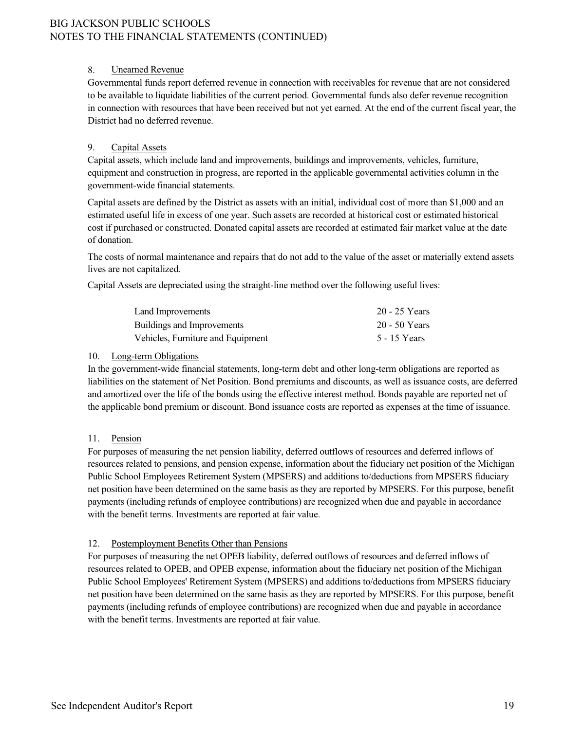#### 8. Unearned Revenue

Governmental funds report deferred revenue in connection with receivables for revenue that are not considered to be available to liquidate liabilities of the current period. Governmental funds also defer revenue recognition in connection with resources that have been received but not yet earned. At the end of the current fiscal year, the District had no deferred revenue.

#### 9. Capital Assets

Capital assets, which include land and improvements, buildings and improvements, vehicles, furniture, equipment and construction in progress, are reported in the applicable governmental activities column in the government-wide financial statements.

Capital assets are defined by the District as assets with an initial, individual cost of more than \$1,000 and an estimated useful life in excess of one year. Such assets are recorded at historical cost or estimated historical cost if purchased or constructed. Donated capital assets are recorded at estimated fair market value at the date of donation.

The costs of normal maintenance and repairs that do not add to the value of the asset or materially extend assets lives are not capitalized.

Capital Assets are depreciated using the straight-line method over the following useful lives:

| Land Improvements                 | 20 - 25 Years |
|-----------------------------------|---------------|
| Buildings and Improvements        | 20 - 50 Years |
| Vehicles, Furniture and Equipment | 5 - 15 Years  |

#### 10. Long-term Obligations

In the government-wide financial statements, long-term debt and other long-term obligations are reported as liabilities on the statement of Net Position. Bond premiums and discounts, as well as issuance costs, are deferred and amortized over the life of the bonds using the effective interest method. Bonds payable are reported net of the applicable bond premium or discount. Bond issuance costs are reported as expenses at the time of issuance.

# 11. Pension

For purposes of measuring the net pension liability, deferred outflows of resources and deferred inflows of resources related to pensions, and pension expense, information about the fiduciary net position of the Michigan Public School Employees Retirement System (MPSERS) and additions to/deductions from MPSERS fiduciary net position have been determined on the same basis as they are reported by MPSERS. For this purpose, benefit payments (including refunds of employee contributions) are recognized when due and payable in accordance with the benefit terms. Investments are reported at fair value.

#### 12. Postemployment Benefits Other than Pensions

For purposes of measuring the net OPEB liability, deferred outflows of resources and deferred inflows of resources related to OPEB, and OPEB expense, information about the fiduciary net position of the Michigan Public School Employees' Retirement System (MPSERS) and additions to/deductions from MPSERS fiduciary net position have been determined on the same basis as they are reported by MPSERS. For this purpose, benefit payments (including refunds of employee contributions) are recognized when due and payable in accordance with the benefit terms. Investments are reported at fair value.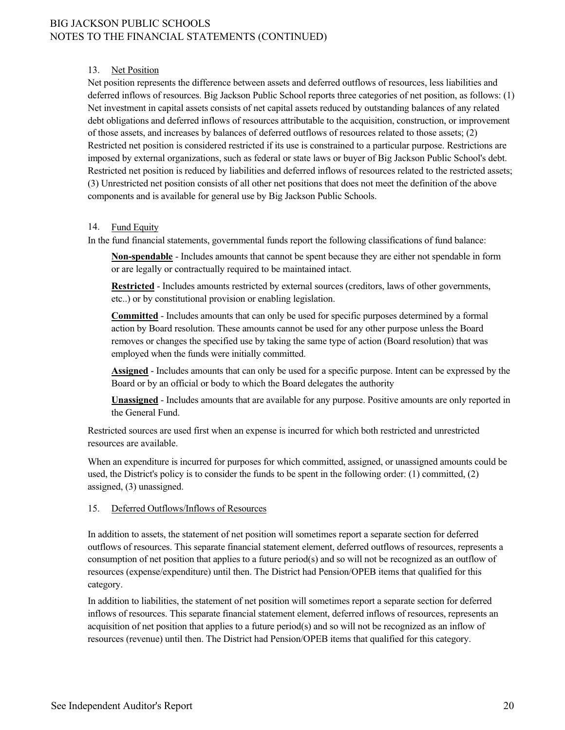#### 13. Net Position

Net position represents the difference between assets and deferred outflows of resources, less liabilities and deferred inflows of resources. Big Jackson Public School reports three categories of net position, as follows: (1) Net investment in capital assets consists of net capital assets reduced by outstanding balances of any related debt obligations and deferred inflows of resources attributable to the acquisition, construction, or improvement of those assets, and increases by balances of deferred outflows of resources related to those assets; (2) Restricted net position is considered restricted if its use is constrained to a particular purpose. Restrictions are imposed by external organizations, such as federal or state laws or buyer of Big Jackson Public School's debt. Restricted net position is reduced by liabilities and deferred inflows of resources related to the restricted assets; (3) Unrestricted net position consists of all other net positions that does not meet the definition of the above components and is available for general use by Big Jackson Public Schools.

## 14. Fund Equity

In the fund financial statements, governmental funds report the following classifications of fund balance:

**Non-spendable** - Includes amounts that cannot be spent because they are either not spendable in form or are legally or contractually required to be maintained intact.

**Restricted** - Includes amounts restricted by external sources (creditors, laws of other governments, etc..) or by constitutional provision or enabling legislation.

**Committed** - Includes amounts that can only be used for specific purposes determined by a formal action by Board resolution. These amounts cannot be used for any other purpose unless the Board removes or changes the specified use by taking the same type of action (Board resolution) that was employed when the funds were initially committed.

**Assigned** - Includes amounts that can only be used for a specific purpose. Intent can be expressed by the Board or by an official or body to which the Board delegates the authority

**Unassigned** - Includes amounts that are available for any purpose. Positive amounts are only reported in the General Fund.

Restricted sources are used first when an expense is incurred for which both restricted and unrestricted resources are available.

When an expenditure is incurred for purposes for which committed, assigned, or unassigned amounts could be used, the District's policy is to consider the funds to be spent in the following order: (1) committed, (2) assigned, (3) unassigned.

#### 15. Deferred Outflows/Inflows of Resources

In addition to assets, the statement of net position will sometimes report a separate section for deferred outflows of resources. This separate financial statement element, deferred outflows of resources, represents a consumption of net position that applies to a future period(s) and so will not be recognized as an outflow of resources (expense/expenditure) until then. The District had Pension/OPEB items that qualified for this category.

In addition to liabilities, the statement of net position will sometimes report a separate section for deferred inflows of resources. This separate financial statement element, deferred inflows of resources, represents an acquisition of net position that applies to a future period(s) and so will not be recognized as an inflow of resources (revenue) until then. The District had Pension/OPEB items that qualified for this category.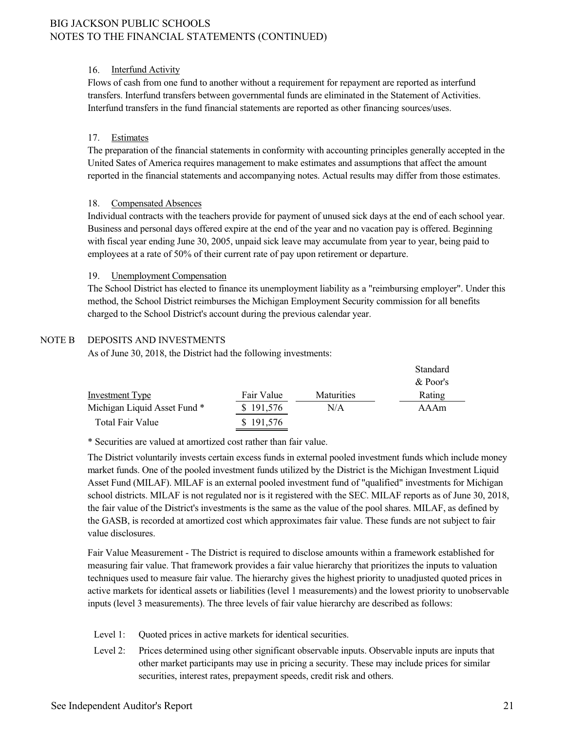#### 16. Interfund Activity

Flows of cash from one fund to another without a requirement for repayment are reported as interfund transfers. Interfund transfers between governmental funds are eliminated in the Statement of Activities. Interfund transfers in the fund financial statements are reported as other financing sources/uses.

#### 17. Estimates

The preparation of the financial statements in conformity with accounting principles generally accepted in the United Sates of America requires management to make estimates and assumptions that affect the amount reported in the financial statements and accompanying notes. Actual results may differ from those estimates.

#### 18. Compensated Absences

Individual contracts with the teachers provide for payment of unused sick days at the end of each school year. Business and personal days offered expire at the end of the year and no vacation pay is offered. Beginning with fiscal year ending June 30, 2005, unpaid sick leave may accumulate from year to year, being paid to employees at a rate of 50% of their current rate of pay upon retirement or departure.

## 19. Unemployment Compensation

The School District has elected to finance its unemployment liability as a "reimbursing employer". Under this method, the School District reimburses the Michigan Employment Security commission for all benefits charged to the School District's account during the previous calendar year.

# NOTE B DEPOSITS AND INVESTMENTS

As of June 30, 2018, the District had the following investments:

|                              |            |                   | Standard |
|------------------------------|------------|-------------------|----------|
|                              |            |                   | & Poor's |
| Investment Type              | Fair Value | <b>Maturities</b> | Rating   |
| Michigan Liquid Asset Fund * | \$191,576  | N/A               | AAAm     |
| Total Fair Value             | \$191,576  |                   |          |

\* Securities are valued at amortized cost rather than fair value.

The District voluntarily invests certain excess funds in external pooled investment funds which include money market funds. One of the pooled investment funds utilized by the District is the Michigan Investment Liquid Asset Fund (MILAF). MILAF is an external pooled investment fund of "qualified" investments for Michigan school districts. MILAF is not regulated nor is it registered with the SEC. MILAF reports as of June 30, 2018, the fair value of the District's investments is the same as the value of the pool shares. MILAF, as defined by the GASB, is recorded at amortized cost which approximates fair value. These funds are not subject to fair value disclosures.

Fair Value Measurement - The District is required to disclose amounts within a framework established for measuring fair value. That framework provides a fair value hierarchy that prioritizes the inputs to valuation techniques used to measure fair value. The hierarchy gives the highest priority to unadjusted quoted prices in active markets for identical assets or liabilities (level 1 measurements) and the lowest priority to unobservable inputs (level 3 measurements). The three levels of fair value hierarchy are described as follows:

- Quoted prices in active markets for identical securities. Level 1:
- Level 2: Prices determined using other significant observable inputs. Observable inputs are inputs that other market participants may use in pricing a security. These may include prices for similar securities, interest rates, prepayment speeds, credit risk and others.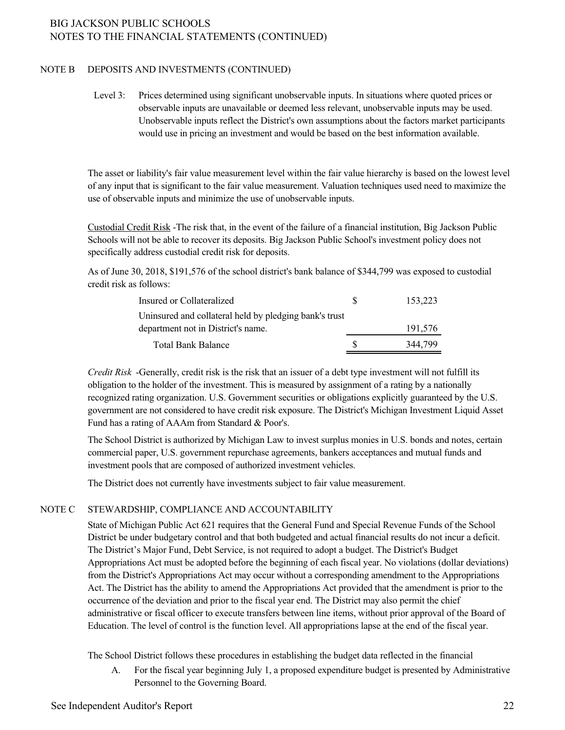#### NOTE B DEPOSITS AND INVESTMENTS (CONTINUED)

Level 3: Prices determined using significant unobservable inputs. In situations where quoted prices or observable inputs are unavailable or deemed less relevant, unobservable inputs may be used. Unobservable inputs reflect the District's own assumptions about the factors market participants would use in pricing an investment and would be based on the best information available.

The asset or liability's fair value measurement level within the fair value hierarchy is based on the lowest level of any input that is significant to the fair value measurement. Valuation techniques used need to maximize the use of observable inputs and minimize the use of unobservable inputs.

Custodial Credit Risk -The risk that, in the event of the failure of a financial institution, Big Jackson Public Schools will not be able to recover its deposits. Big Jackson Public School's investment policy does not specifically address custodial credit risk for deposits.

As of June 30, 2018, \$191,576 of the school district's bank balance of \$344,799 was exposed to custodial credit risk as follows:

| Insured or Collateralized                              |   | 153,223 |
|--------------------------------------------------------|---|---------|
| Uninsured and collateral held by pledging bank's trust |   |         |
| department not in District's name.                     |   | 191,576 |
| <b>Total Bank Balance</b>                              | Ж | 344.799 |

*Credit Risk* -Generally, credit risk is the risk that an issuer of a debt type investment will not fulfill its obligation to the holder of the investment. This is measured by assignment of a rating by a nationally recognized rating organization. U.S. Government securities or obligations explicitly guaranteed by the U.S. government are not considered to have credit risk exposure. The District's Michigan Investment Liquid Asset Fund has a rating of AAAm from Standard & Poor's.

The School District is authorized by Michigan Law to invest surplus monies in U.S. bonds and notes, certain commercial paper, U.S. government repurchase agreements, bankers acceptances and mutual funds and investment pools that are composed of authorized investment vehicles.

The District does not currently have investments subject to fair value measurement.

#### NOTE C STEWARDSHIP, COMPLIANCE AND ACCOUNTABILITY

State of Michigan Public Act 621 requires that the General Fund and Special Revenue Funds of the School District be under budgetary control and that both budgeted and actual financial results do not incur a deficit. The District's Major Fund, Debt Service, is not required to adopt a budget. The District's Budget Appropriations Act must be adopted before the beginning of each fiscal year. No violations (dollar deviations) from the District's Appropriations Act may occur without a corresponding amendment to the Appropriations Act. The District has the ability to amend the Appropriations Act provided that the amendment is prior to the occurrence of the deviation and prior to the fiscal year end. The District may also permit the chief administrative or fiscal officer to execute transfers between line items, without prior approval of the Board of Education. The level of control is the function level. All appropriations lapse at the end of the fiscal year.

The School District follows these procedures in establishing the budget data reflected in the financial

A. For the fiscal year beginning July 1, a proposed expenditure budget is presented by Administrative Personnel to the Governing Board.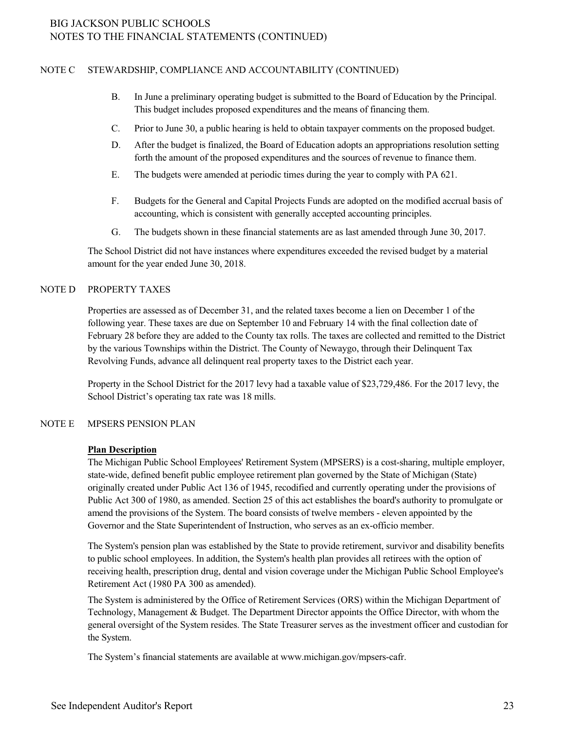#### NOTE C STEWARDSHIP, COMPLIANCE AND ACCOUNTABILITY (CONTINUED)

- B. In June a preliminary operating budget is submitted to the Board of Education by the Principal. This budget includes proposed expenditures and the means of financing them.
- C. Prior to June 30, a public hearing is held to obtain taxpayer comments on the proposed budget.
- D. After the budget is finalized, the Board of Education adopts an appropriations resolution setting forth the amount of the proposed expenditures and the sources of revenue to finance them.
- E. The budgets were amended at periodic times during the year to comply with PA 621.
- F. Budgets for the General and Capital Projects Funds are adopted on the modified accrual basis of accounting, which is consistent with generally accepted accounting principles.
- G. The budgets shown in these financial statements are as last amended through June 30, 2017.

The School District did not have instances where expenditures exceeded the revised budget by a material amount for the year ended June 30, 2018.

#### NOTE D PROPERTY TAXES

Properties are assessed as of December 31, and the related taxes become a lien on December 1 of the following year. These taxes are due on September 10 and February 14 with the final collection date of February 28 before they are added to the County tax rolls. The taxes are collected and remitted to the District by the various Townships within the District. The County of Newaygo, through their Delinquent Tax Revolving Funds, advance all delinquent real property taxes to the District each year.

Property in the School District for the 2017 levy had a taxable value of \$23,729,486. For the 2017 levy, the School District's operating tax rate was 18 mills.

# NOTE E MPSERS PENSION PLAN

#### **Plan Description**

The Michigan Public School Employees' Retirement System (MPSERS) is a cost-sharing, multiple employer, state-wide, defined benefit public employee retirement plan governed by the State of Michigan (State) originally created under Public Act 136 of 1945, recodified and currently operating under the provisions of Public Act 300 of 1980, as amended. Section 25 of this act establishes the board's authority to promulgate or amend the provisions of the System. The board consists of twelve members - eleven appointed by the Governor and the State Superintendent of Instruction, who serves as an ex-officio member.

The System's pension plan was established by the State to provide retirement, survivor and disability benefits to public school employees. In addition, the System's health plan provides all retirees with the option of receiving health, prescription drug, dental and vision coverage under the Michigan Public School Employee's Retirement Act (1980 PA 300 as amended).

The System is administered by the Office of Retirement Services (ORS) within the Michigan Department of Technology, Management & Budget. The Department Director appoints the Office Director, with whom the general oversight of the System resides. The State Treasurer serves as the investment officer and custodian for the System.

The System's financial statements are available at www.michigan.gov/mpsers-cafr.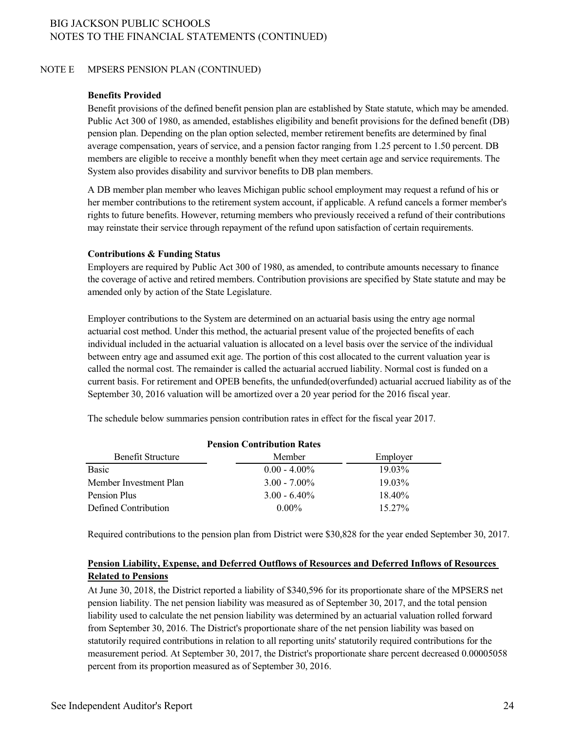#### NOTE E MPSERS PENSION PLAN (CONTINUED)

#### **Benefits Provided**

Benefit provisions of the defined benefit pension plan are established by State statute, which may be amended. Public Act 300 of 1980, as amended, establishes eligibility and benefit provisions for the defined benefit (DB) pension plan. Depending on the plan option selected, member retirement benefits are determined by final average compensation, years of service, and a pension factor ranging from 1.25 percent to 1.50 percent. DB members are eligible to receive a monthly benefit when they meet certain age and service requirements. The System also provides disability and survivor benefits to DB plan members.

A DB member plan member who leaves Michigan public school employment may request a refund of his or her member contributions to the retirement system account, if applicable. A refund cancels a former member's rights to future benefits. However, returning members who previously received a refund of their contributions may reinstate their service through repayment of the refund upon satisfaction of certain requirements.

#### **Contributions & Funding Status**

Employers are required by Public Act 300 of 1980, as amended, to contribute amounts necessary to finance the coverage of active and retired members. Contribution provisions are specified by State statute and may be amended only by action of the State Legislature.

Employer contributions to the System are determined on an actuarial basis using the entry age normal actuarial cost method. Under this method, the actuarial present value of the projected benefits of each individual included in the actuarial valuation is allocated on a level basis over the service of the individual between entry age and assumed exit age. The portion of this cost allocated to the current valuation year is called the normal cost. The remainder is called the actuarial accrued liability. Normal cost is funded on a current basis. For retirement and OPEB benefits, the unfunded(overfunded) actuarial accrued liability as of the September 30, 2016 valuation will be amortized over a 20 year period for the 2016 fiscal year.

| <b>Pension Contribution Rates</b> |                 |           |  |  |
|-----------------------------------|-----------------|-----------|--|--|
| Benefit Structure                 | Member          | Employer  |  |  |
| <b>Basic</b>                      | $0.00 - 4.00\%$ | $19.03\%$ |  |  |
| Member Investment Plan            | $3.00 - 7.00\%$ | $19.03\%$ |  |  |
| Pension Plus                      | $3.00 - 6.40\%$ | $18.40\%$ |  |  |
| Defined Contribution              | $0.00\%$        | $15.27\%$ |  |  |

The schedule below summaries pension contribution rates in effect for the fiscal year 2017.

Required contributions to the pension plan from District were \$30,828 for the year ended September 30, 2017.

# **Pension Liability, Expense, and Deferred Outflows of Resources and Deferred Inflows of Resources Related to Pensions**

At June 30, 2018, the District reported a liability of \$340,596 for its proportionate share of the MPSERS net pension liability. The net pension liability was measured as of September 30, 2017, and the total pension liability used to calculate the net pension liability was determined by an actuarial valuation rolled forward from September 30, 2016. The District's proportionate share of the net pension liability was based on statutorily required contributions in relation to all reporting units' statutorily required contributions for the measurement period. At September 30, 2017, the District's proportionate share percent decreased 0.00005058 percent from its proportion measured as of September 30, 2016.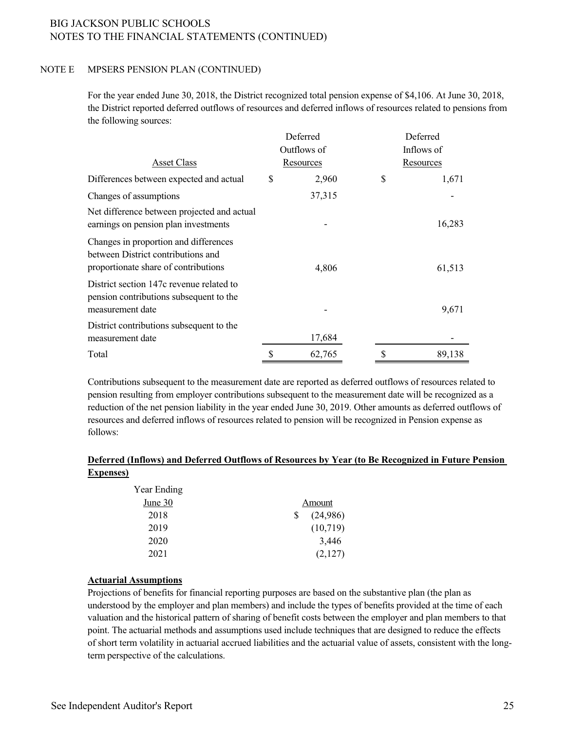## NOTE E MPSERS PENSION PLAN (CONTINUED)

For the year ended June 30, 2018, the District recognized total pension expense of \$4,106. At June 30, 2018, the District reported deferred outflows of resources and deferred inflows of resources related to pensions from the following sources:

|                                                                                                                     |           | Deferred    | Deferred     |
|---------------------------------------------------------------------------------------------------------------------|-----------|-------------|--------------|
|                                                                                                                     |           | Outflows of | Inflows of   |
| Asset Class                                                                                                         | Resources |             | Resources    |
| Differences between expected and actual                                                                             | \$        | 2,960       | \$<br>1,671  |
| Changes of assumptions                                                                                              |           | 37,315      |              |
| Net difference between projected and actual<br>earnings on pension plan investments                                 |           |             | 16,283       |
| Changes in proportion and differences<br>between District contributions and<br>proportionate share of contributions |           | 4,806       | 61,513       |
| District section 147c revenue related to<br>pension contributions subsequent to the<br>measurement date             |           |             | 9,671        |
| District contributions subsequent to the<br>measurement date                                                        |           | 17,684      |              |
| Total                                                                                                               | S         | 62,765      | \$<br>89,138 |

Contributions subsequent to the measurement date are reported as deferred outflows of resources related to pension resulting from employer contributions subsequent to the measurement date will be recognized as a reduction of the net pension liability in the year ended June 30, 2019. Other amounts as deferred outflows of resources and deferred inflows of resources related to pension will be recognized in Pension expense as follows:

# **Deferred (Inflows) and Deferred Outflows of Resources by Year (to Be Recognized in Future Pension Expenses)**

| Year Ending |          |
|-------------|----------|
| June 30     | Amount   |
| 2018        | (24,986) |
| 2019        | (10,719) |
| 2020        | 3,446    |
| 2021        | (2,127)  |

#### **Actuarial Assumptions**

Projections of benefits for financial reporting purposes are based on the substantive plan (the plan as understood by the employer and plan members) and include the types of benefits provided at the time of each valuation and the historical pattern of sharing of benefit costs between the employer and plan members to that point. The actuarial methods and assumptions used include techniques that are designed to reduce the effects of short term volatility in actuarial accrued liabilities and the actuarial value of assets, consistent with the longterm perspective of the calculations.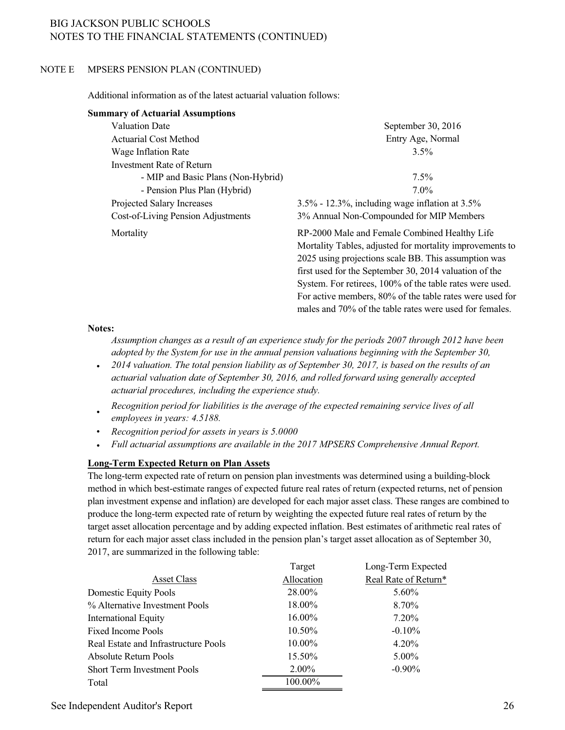## NOTE E MPSERS PENSION PLAN (CONTINUED)

Additional information as of the latest actuarial valuation follows:

| <b>Summary of Actuarial Assumptions</b> |                                                                                                       |
|-----------------------------------------|-------------------------------------------------------------------------------------------------------|
| <b>Valuation Date</b>                   | September 30, 2016                                                                                    |
| Actuarial Cost Method                   | Entry Age, Normal                                                                                     |
| Wage Inflation Rate                     | $3.5\%$                                                                                               |
| Investment Rate of Return               |                                                                                                       |
| - MIP and Basic Plans (Non-Hybrid)      | $7.5\%$                                                                                               |
| - Pension Plus Plan (Hybrid)            | $7.0\%$                                                                                               |
| Projected Salary Increases              | $3.5\%$ - 12.3%, including wage inflation at 3.5%                                                     |
| Cost-of-Living Pension Adjustments      | 3% Annual Non-Compounded for MIP Members                                                              |
| Mortality                               | RP-2000 Male and Female Combined Healthy Life<br>Mortality Tables, adjusted for mortality improvement |

vements to 2025 using projections scale BB. This assumption was first used for the September 30, 2014 valuation of the System. For retirees, 100% of the table rates were used. For active members, 80% of the table rates were used for males and 70% of the table rates were used for females.

**Notes:**

•

*Assumption changes as a result of an experience study for the periods 2007 through 2012 have been adopted by the System for use in the annual pension valuations beginning with the September 30,* 

• *2014 valuation. The total pension liability as of September 30, 2017, is based on the results of an actuarial valuation date of September 30, 2016, and rolled forward using generally accepted actuarial procedures, including the experience study.* 

*Recognition period for liabilities is the average of the expected remaining service lives of all employees in years: 4.5188.*

- *Recognition period for assets in years is 5.0000*
- *Full actuarial assumptions are available in the 2017 MPSERS Comprehensive Annual Report.*

# **Long-Term Expected Return on Plan Assets**

The long-term expected rate of return on pension plan investments was determined using a building-block method in which best-estimate ranges of expected future real rates of return (expected returns, net of pension plan investment expense and inflation) are developed for each major asset class. These ranges are combined to produce the long-term expected rate of return by weighting the expected future real rates of return by the target asset allocation percentage and by adding expected inflation. Best estimates of arithmetic real rates of return for each major asset class included in the pension plan's target asset allocation as of September 30, 2017, are summarized in the following table:

|                                      | Target     | Long-Term Expected   |
|--------------------------------------|------------|----------------------|
| <b>Asset Class</b>                   | Allocation | Real Rate of Return* |
| <b>Domestic Equity Pools</b>         | 28.00%     | $5.60\%$             |
| % Alternative Investment Pools       | 18.00%     | 8.70%                |
| <b>International Equity</b>          | $16.00\%$  | $7.20\%$             |
| <b>Fixed Income Pools</b>            | 10.50%     | $-0.10%$             |
| Real Estate and Infrastructure Pools | $10.00\%$  | $4.20\%$             |
| Absolute Return Pools                | 15.50%     | $5.00\%$             |
| <b>Short Term Investment Pools</b>   | $2.00\%$   | $-0.90\%$            |
| Total                                | 100.00%    |                      |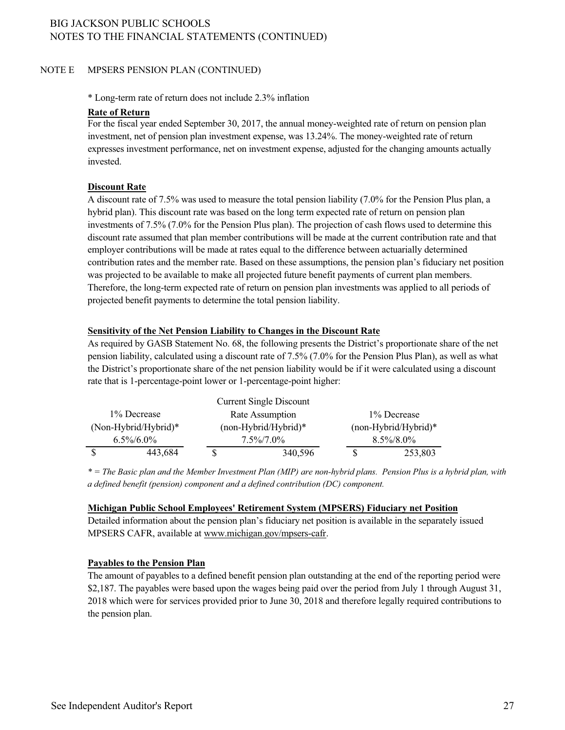#### NOTE E MPSERS PENSION PLAN (CONTINUED)

#### \* Long-term rate of return does not include 2.3% inflation

#### **Rate of Return**

For the fiscal year ended September 30, 2017, the annual money-weighted rate of return on pension plan investment, net of pension plan investment expense, was 13.24%. The money-weighted rate of return expresses investment performance, net on investment expense, adjusted for the changing amounts actually invested.

#### **Discount Rate**

A discount rate of 7.5% was used to measure the total pension liability (7.0% for the Pension Plus plan, a hybrid plan). This discount rate was based on the long term expected rate of return on pension plan investments of 7.5% (7.0% for the Pension Plus plan). The projection of cash flows used to determine this discount rate assumed that plan member contributions will be made at the current contribution rate and that employer contributions will be made at rates equal to the difference between actuarially determined contribution rates and the member rate. Based on these assumptions, the pension plan's fiduciary net position was projected to be available to make all projected future benefit payments of current plan members. Therefore, the long-term expected rate of return on pension plan investments was applied to all periods of projected benefit payments to determine the total pension liability.

#### **Sensitivity of the Net Pension Liability to Changes in the Discount Rate**

As required by GASB Statement No. 68, the following presents the District's proportionate share of the net pension liability, calculated using a discount rate of 7.5% (7.0% for the Pension Plus Plan), as well as what the District's proportionate share of the net pension liability would be if it were calculated using a discount rate that is 1-percentage-point lower or 1-percentage-point higher:

|                      | <b>Current Single Discount</b> |                      |
|----------------------|--------------------------------|----------------------|
| 1% Decrease          | Rate Assumption                | 1% Decrease          |
| (Non-Hybrid/Hybrid)* | $(non-Hybrid/Hybrid)*$         | (non-Hybrid/Hybrid)* |
| $6.5\%/6.0\%$        | $7.5\%/7.0\%$                  | $8.5\%/8.0\%$        |
| 443.684              | 340,596                        | 253,803              |

*\* = The Basic plan and the Member Investment Plan (MIP) are non-hybrid plans. Pension Plus is a hybrid plan, with a defined benefit (pension) component and a defined contribution (DC) component.*

#### **Michigan Public School Employees' Retirement System (MPSERS) Fiduciary net Position**

Detailed information about the pension plan's fiduciary net position is available in the separately issued MPSERS CAFR, available at www.michigan.gov/mpsers-cafr.

#### **Payables to the Pension Plan**

The amount of payables to a defined benefit pension plan outstanding at the end of the reporting period were \$2,187. The payables were based upon the wages being paid over the period from July 1 through August 31, 2018 which were for services provided prior to June 30, 2018 and therefore legally required contributions to the pension plan.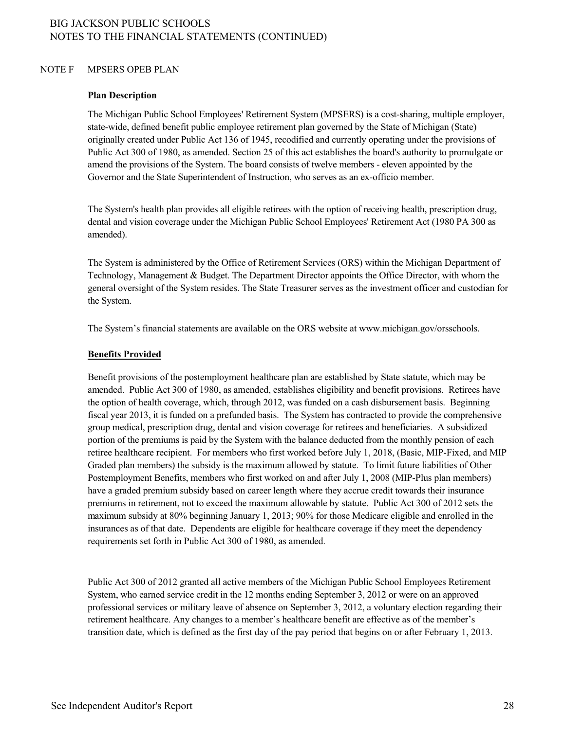#### NOTE F MPSERS OPEB PLAN

## **Plan Description**

The Michigan Public School Employees' Retirement System (MPSERS) is a cost-sharing, multiple employer, state-wide, defined benefit public employee retirement plan governed by the State of Michigan (State) originally created under Public Act 136 of 1945, recodified and currently operating under the provisions of Public Act 300 of 1980, as amended. Section 25 of this act establishes the board's authority to promulgate or amend the provisions of the System. The board consists of twelve members - eleven appointed by the Governor and the State Superintendent of Instruction, who serves as an ex-officio member.

The System's health plan provides all eligible retirees with the option of receiving health, prescription drug, dental and vision coverage under the Michigan Public School Employees' Retirement Act (1980 PA 300 as amended).

The System is administered by the Office of Retirement Services (ORS) within the Michigan Department of Technology, Management & Budget. The Department Director appoints the Office Director, with whom the general oversight of the System resides. The State Treasurer serves as the investment officer and custodian for the System.

The System's financial statements are available on the ORS website at www.michigan.gov/orsschools.

#### **Benefits Provided**

Benefit provisions of the postemployment healthcare plan are established by State statute, which may be amended. Public Act 300 of 1980, as amended, establishes eligibility and benefit provisions. Retirees have the option of health coverage, which, through 2012, was funded on a cash disbursement basis. Beginning fiscal year 2013, it is funded on a prefunded basis. The System has contracted to provide the comprehensive group medical, prescription drug, dental and vision coverage for retirees and beneficiaries. A subsidized portion of the premiums is paid by the System with the balance deducted from the monthly pension of each retiree healthcare recipient. For members who first worked before July 1, 2018, (Basic, MIP-Fixed, and MIP Graded plan members) the subsidy is the maximum allowed by statute. To limit future liabilities of Other Postemployment Benefits, members who first worked on and after July 1, 2008 (MIP-Plus plan members) have a graded premium subsidy based on career length where they accrue credit towards their insurance premiums in retirement, not to exceed the maximum allowable by statute. Public Act 300 of 2012 sets the maximum subsidy at 80% beginning January 1, 2013; 90% for those Medicare eligible and enrolled in the insurances as of that date. Dependents are eligible for healthcare coverage if they meet the dependency requirements set forth in Public Act 300 of 1980, as amended.

Public Act 300 of 2012 granted all active members of the Michigan Public School Employees Retirement System, who earned service credit in the 12 months ending September 3, 2012 or were on an approved professional services or military leave of absence on September 3, 2012, a voluntary election regarding their retirement healthcare. Any changes to a member's healthcare benefit are effective as of the member's transition date, which is defined as the first day of the pay period that begins on or after February 1, 2013.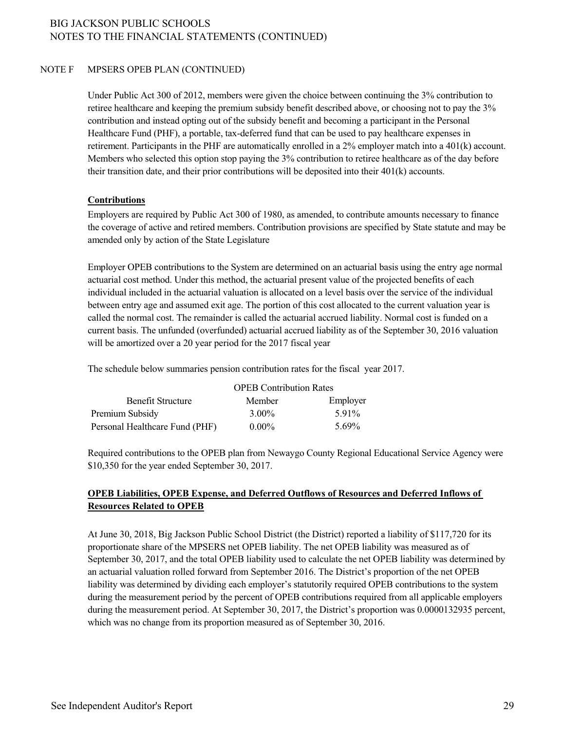# NOTE F MPSERS OPEB PLAN (CONTINUED)

Under Public Act 300 of 2012, members were given the choice between continuing the 3% contribution to retiree healthcare and keeping the premium subsidy benefit described above, or choosing not to pay the 3% contribution and instead opting out of the subsidy benefit and becoming a participant in the Personal Healthcare Fund (PHF), a portable, tax-deferred fund that can be used to pay healthcare expenses in retirement. Participants in the PHF are automatically enrolled in a 2% employer match into a 401(k) account. Members who selected this option stop paying the 3% contribution to retiree healthcare as of the day before their transition date, and their prior contributions will be deposited into their 401(k) accounts.

# **Contributions**

Employers are required by Public Act 300 of 1980, as amended, to contribute amounts necessary to finance the coverage of active and retired members. Contribution provisions are specified by State statute and may be amended only by action of the State Legislature

Employer OPEB contributions to the System are determined on an actuarial basis using the entry age normal actuarial cost method. Under this method, the actuarial present value of the projected benefits of each individual included in the actuarial valuation is allocated on a level basis over the service of the individual between entry age and assumed exit age. The portion of this cost allocated to the current valuation year is called the normal cost. The remainder is called the actuarial accrued liability. Normal cost is funded on a current basis. The unfunded (overfunded) actuarial accrued liability as of the September 30, 2016 valuation will be amortized over a 20 year period for the 2017 fiscal year

The schedule below summaries pension contribution rates for the fiscal year 2017.

|                                | <b>OPEB Contribution Rates</b> |          |
|--------------------------------|--------------------------------|----------|
| <b>Benefit Structure</b>       | Member                         | Employer |
| Premium Subsidy                | $3.00\%$                       | 5.91%    |
| Personal Healthcare Fund (PHF) | $0.00\%$                       | $5.69\%$ |

Required contributions to the OPEB plan from Newaygo County Regional Educational Service Agency were \$10,350 for the year ended September 30, 2017.

# **OPEB Liabilities, OPEB Expense, and Deferred Outflows of Resources and Deferred Inflows of Resources Related to OPEB**

At June 30, 2018, Big Jackson Public School District (the District) reported a liability of \$117,720 for its proportionate share of the MPSERS net OPEB liability. The net OPEB liability was measured as of September 30, 2017, and the total OPEB liability used to calculate the net OPEB liability was determined by an actuarial valuation rolled forward from September 2016. The District's proportion of the net OPEB liability was determined by dividing each employer's statutorily required OPEB contributions to the system during the measurement period by the percent of OPEB contributions required from all applicable employers during the measurement period. At September 30, 2017, the District's proportion was 0.0000132935 percent, which was no change from its proportion measured as of September 30, 2016.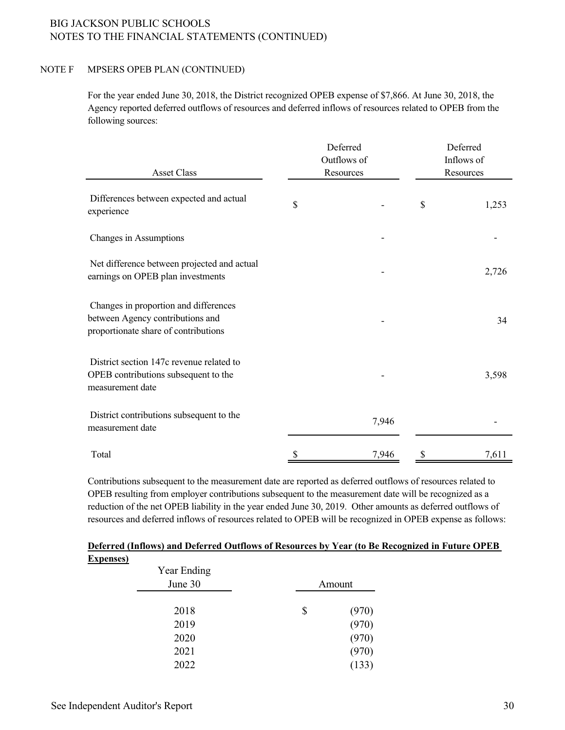# NOTE F MPSERS OPEB PLAN (CONTINUED)

For the year ended June 30, 2018, the District recognized OPEB expense of \$7,866. At June 30, 2018, the Agency reported deferred outflows of resources and deferred inflows of resources related to OPEB from the following sources:

| <b>Asset Class</b>                                                                                                | Deferred<br>Outflows of<br>Resources | Deferred<br>Inflows of<br>Resources |       |  |
|-------------------------------------------------------------------------------------------------------------------|--------------------------------------|-------------------------------------|-------|--|
| Differences between expected and actual<br>experience                                                             | \$                                   | \$                                  | 1,253 |  |
| Changes in Assumptions                                                                                            |                                      |                                     |       |  |
| Net difference between projected and actual<br>earnings on OPEB plan investments                                  |                                      |                                     | 2,726 |  |
| Changes in proportion and differences<br>between Agency contributions and<br>proportionate share of contributions |                                      |                                     | 34    |  |
| District section 147c revenue related to<br>OPEB contributions subsequent to the<br>measurement date              |                                      |                                     | 3,598 |  |
| District contributions subsequent to the<br>measurement date                                                      | 7,946                                |                                     |       |  |
| Total                                                                                                             | \$<br>7,946                          | \$                                  | 7,611 |  |

Contributions subsequent to the measurement date are reported as deferred outflows of resources related to OPEB resulting from employer contributions subsequent to the measurement date will be recognized as a reduction of the net OPEB liability in the year ended June 30, 2019. Other amounts as deferred outflows of resources and deferred inflows of resources related to OPEB will be recognized in OPEB expense as follows:

# **Deferred (Inflows) and Deferred Outflows of Resources by Year (to Be Recognized in Future OPEB**

| <b>Expenses</b> ) |             |        |       |  |
|-------------------|-------------|--------|-------|--|
|                   | Year Ending |        |       |  |
|                   | June 30     | Amount |       |  |
|                   |             |        |       |  |
|                   | 2018        | \$     | (970) |  |
|                   | 2019        |        | (970) |  |
|                   | 2020        |        | (970) |  |
|                   | 2021        |        | (970) |  |
|                   | 2022        |        | (133) |  |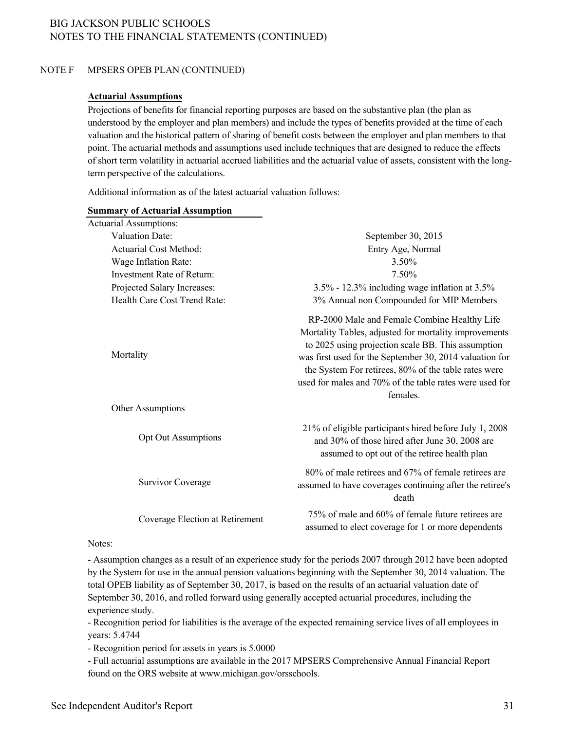#### NOTE F MPSERS OPEB PLAN (CONTINUED)

#### **Actuarial Assumptions**

Projections of benefits for financial reporting purposes are based on the substantive plan (the plan as understood by the employer and plan members) and include the types of benefits provided at the time of each valuation and the historical pattern of sharing of benefit costs between the employer and plan members to that point. The actuarial methods and assumptions used include techniques that are designed to reduce the effects of short term volatility in actuarial accrued liabilities and the actuarial value of assets, consistent with the longterm perspective of the calculations.

Additional information as of the latest actuarial valuation follows:

| <b>Summary of Actuarial Assumption</b> |                                                                                                                                                                                                                                                                                                                                                       |
|----------------------------------------|-------------------------------------------------------------------------------------------------------------------------------------------------------------------------------------------------------------------------------------------------------------------------------------------------------------------------------------------------------|
| <b>Actuarial Assumptions:</b>          |                                                                                                                                                                                                                                                                                                                                                       |
| <b>Valuation Date:</b>                 | September 30, 2015                                                                                                                                                                                                                                                                                                                                    |
| <b>Actuarial Cost Method:</b>          | Entry Age, Normal                                                                                                                                                                                                                                                                                                                                     |
| Wage Inflation Rate:                   | $3.50\%$                                                                                                                                                                                                                                                                                                                                              |
| <b>Investment Rate of Return:</b>      | $7.50\%$                                                                                                                                                                                                                                                                                                                                              |
| Projected Salary Increases:            | $3.5\%$ - 12.3% including wage inflation at 3.5%                                                                                                                                                                                                                                                                                                      |
| <b>Health Care Cost Trend Rate:</b>    | 3% Annual non Compounded for MIP Members                                                                                                                                                                                                                                                                                                              |
| Mortality<br>Other Assumptions         | RP-2000 Male and Female Combine Healthy Life<br>Mortality Tables, adjusted for mortality improvements<br>to 2025 using projection scale BB. This assumption<br>was first used for the September 30, 2014 valuation for<br>the System For retirees, 80% of the table rates were<br>used for males and 70% of the table rates were used for<br>females. |
| <b>Opt Out Assumptions</b>             | 21% of eligible participants hired before July 1, 2008<br>and 30% of those hired after June 30, 2008 are<br>assumed to opt out of the retiree health plan                                                                                                                                                                                             |
| <b>Survivor Coverage</b>               | 80% of male retirees and 67% of female retirees are<br>assumed to have coverages continuing after the retiree's<br>death                                                                                                                                                                                                                              |
| Coverage Election at Retirement        | 75% of male and 60% of female future retirees are<br>assumed to elect coverage for 1 or more dependents                                                                                                                                                                                                                                               |

#### Notes:

- Assumption changes as a result of an experience study for the periods 2007 through 2012 have been adopted by the System for use in the annual pension valuations beginning with the September 30, 2014 valuation. The total OPEB liability as of September 30, 2017, is based on the results of an actuarial valuation date of September 30, 2016, and rolled forward using generally accepted actuarial procedures, including the experience study.

- Recognition period for liabilities is the average of the expected remaining service lives of all employees in years: 5.4744

- Recognition period for assets in years is 5.0000

- Full actuarial assumptions are available in the 2017 MPSERS Comprehensive Annual Financial Report found on the ORS website at www.michigan.gov/orsschools.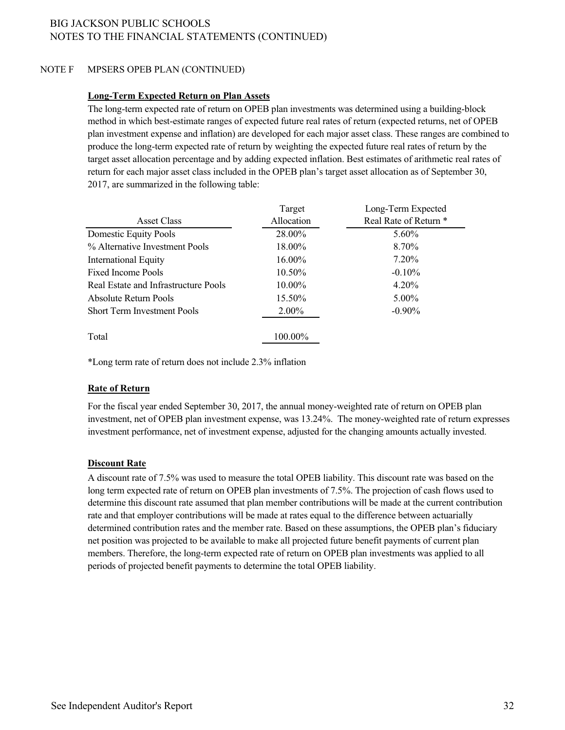## NOTE F MPSERS OPEB PLAN (CONTINUED)

#### **Long-Term Expected Return on Plan Assets**

The long-term expected rate of return on OPEB plan investments was determined using a building-block method in which best-estimate ranges of expected future real rates of return (expected returns, net of OPEB plan investment expense and inflation) are developed for each major asset class. These ranges are combined to produce the long-term expected rate of return by weighting the expected future real rates of return by the target asset allocation percentage and by adding expected inflation. Best estimates of arithmetic real rates of return for each major asset class included in the OPEB plan's target asset allocation as of September 30, 2017, are summarized in the following table:

|                                      | Target     | Long-Term Expected    |
|--------------------------------------|------------|-----------------------|
| Asset Class                          | Allocation | Real Rate of Return * |
| <b>Domestic Equity Pools</b>         | 28.00%     | $5.60\%$              |
| % Alternative Investment Pools       | 18.00%     | 8.70%                 |
| <b>International Equity</b>          | $16.00\%$  | $7.20\%$              |
| <b>Fixed Income Pools</b>            | $10.50\%$  | $-0.10\%$             |
| Real Estate and Infrastructure Pools | $10.00\%$  | $4.20\%$              |
| Absolute Return Pools                | $15.50\%$  | $5.00\%$              |
| <b>Short Term Investment Pools</b>   | $2.00\%$   | $-0.90\%$             |
| Total                                | $100.00\%$ |                       |

\*Long term rate of return does not include 2.3% inflation

#### **Rate of Return**

For the fiscal year ended September 30, 2017, the annual money-weighted rate of return on OPEB plan investment, net of OPEB plan investment expense, was 13.24%. The money-weighted rate of return expresses investment performance, net of investment expense, adjusted for the changing amounts actually invested.

#### **Discount Rate**

A discount rate of 7.5% was used to measure the total OPEB liability. This discount rate was based on the long term expected rate of return on OPEB plan investments of 7.5%. The projection of cash flows used to determine this discount rate assumed that plan member contributions will be made at the current contribution rate and that employer contributions will be made at rates equal to the difference between actuarially determined contribution rates and the member rate. Based on these assumptions, the OPEB plan's fiduciary net position was projected to be available to make all projected future benefit payments of current plan members. Therefore, the long-term expected rate of return on OPEB plan investments was applied to all periods of projected benefit payments to determine the total OPEB liability.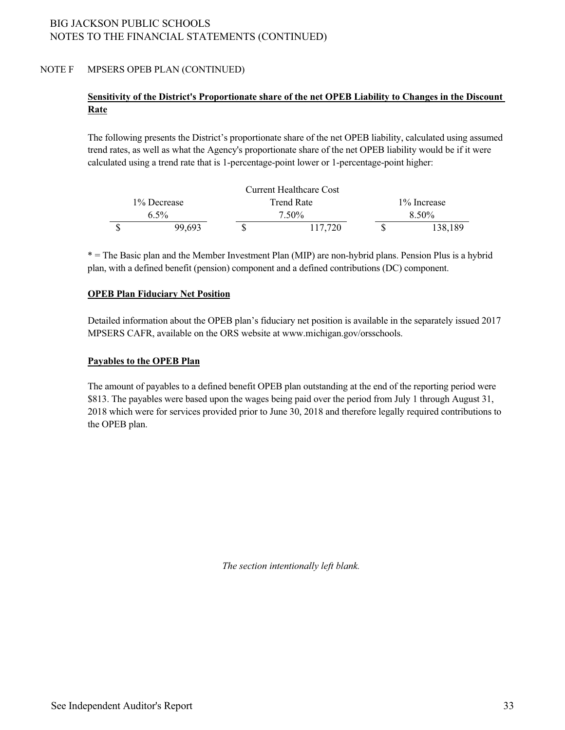## NOTE F MPSERS OPEB PLAN (CONTINUED)

# **Sensitivity of the District's Proportionate share of the net OPEB Liability to Changes in the Discount Rate**

The following presents the District's proportionate share of the net OPEB liability, calculated using assumed trend rates, as well as what the Agency's proportionate share of the net OPEB liability would be if it were calculated using a trend rate that is 1-percentage-point lower or 1-percentage-point higher:

| Current Healthcare Cost |             |   |                   |              |         |  |  |  |  |  |
|-------------------------|-------------|---|-------------------|--------------|---------|--|--|--|--|--|
|                         | 1% Decrease |   | <b>Trend Rate</b> | 1\% Increase |         |  |  |  |  |  |
|                         | $6.5\%$     |   | 7.50%             | $8.50\%$     |         |  |  |  |  |  |
|                         | 99.693      | S | 117.720           |              | 138,189 |  |  |  |  |  |

\* = The Basic plan and the Member Investment Plan (MIP) are non-hybrid plans. Pension Plus is a hybrid plan, with a defined benefit (pension) component and a defined contributions (DC) component.

#### **OPEB Plan Fiduciary Net Position**

Detailed information about the OPEB plan's fiduciary net position is available in the separately issued 2017 MPSERS CAFR, available on the ORS website at www.michigan.gov/orsschools.

## **Payables to the OPEB Plan**

The amount of payables to a defined benefit OPEB plan outstanding at the end of the reporting period were \$813. The payables were based upon the wages being paid over the period from July 1 through August 31, 2018 which were for services provided prior to June 30, 2018 and therefore legally required contributions to the OPEB plan.

*The section intentionally left blank.*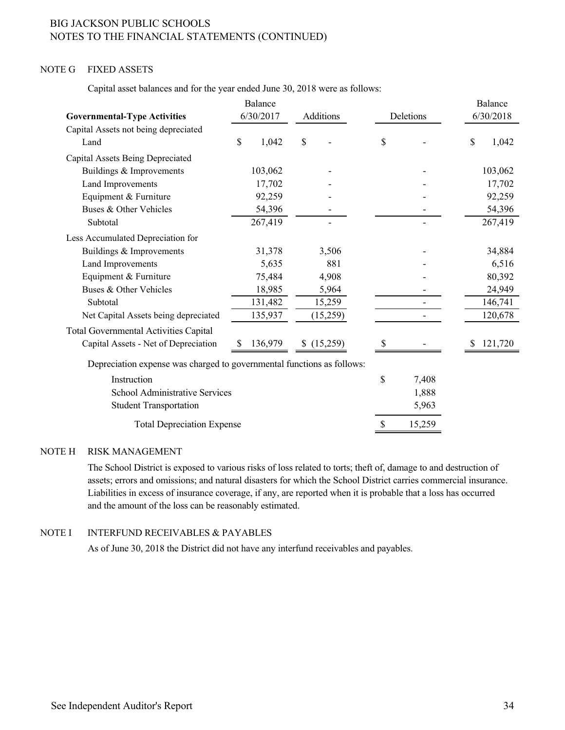### NOTE G FIXED ASSETS

Capital asset balances and for the year ended June 30, 2018 were as follows:

|                                                                        |         | <b>Balance</b> |          |           |    |           | Balance   |         |  |
|------------------------------------------------------------------------|---------|----------------|----------|-----------|----|-----------|-----------|---------|--|
| <b>Governmental-Type Activities</b>                                    |         | 6/30/2017      |          | Additions |    | Deletions | 6/30/2018 |         |  |
| Capital Assets not being depreciated                                   |         |                |          |           |    |           |           |         |  |
| Land                                                                   | \$      | 1,042          | \$       |           | \$ |           | \$        | 1,042   |  |
| Capital Assets Being Depreciated                                       |         |                |          |           |    |           |           |         |  |
| Buildings & Improvements                                               |         | 103,062        |          |           |    |           |           | 103,062 |  |
| Land Improvements                                                      |         | 17,702         |          |           |    |           |           | 17,702  |  |
| Equipment & Furniture                                                  |         | 92,259         |          |           |    |           |           | 92,259  |  |
| Buses & Other Vehicles                                                 |         | 54,396         |          |           |    |           |           | 54,396  |  |
| Subtotal                                                               |         | 267,419        |          |           |    |           |           | 267,419 |  |
| Less Accumulated Depreciation for                                      |         |                |          |           |    |           |           |         |  |
| Buildings & Improvements                                               |         | 31,378         |          | 3,506     |    |           |           | 34,884  |  |
| Land Improvements                                                      |         | 5,635          |          | 881       |    |           |           | 6,516   |  |
| Equipment & Furniture                                                  |         | 75,484         |          | 4,908     |    |           |           | 80,392  |  |
| Buses & Other Vehicles                                                 |         | 18,985         |          | 5,964     |    |           |           | 24,949  |  |
| Subtotal                                                               |         | 131,482        |          | 15,259    |    |           |           | 146,741 |  |
| Net Capital Assets being depreciated                                   | 135,937 |                | (15,259) |           |    |           |           | 120,678 |  |
| <b>Total Governmental Activities Capital</b>                           |         |                |          |           |    |           |           |         |  |
| Capital Assets - Net of Depreciation                                   | S       | 136,979        |          | (15,259)  | \$ |           |           | 121,720 |  |
| Depreciation expense was charged to governmental functions as follows: |         |                |          |           |    |           |           |         |  |
| Instruction                                                            |         |                |          |           | \$ | 7,408     |           |         |  |
| <b>School Administrative Services</b>                                  |         |                |          |           |    | 1,888     |           |         |  |
| <b>Student Transportation</b>                                          |         |                |          |           |    | 5,963     |           |         |  |
| <b>Total Depreciation Expense</b>                                      |         |                |          |           | S  | 15,259    |           |         |  |

#### NOTE H RISK MANAGEMENT

The School District is exposed to various risks of loss related to torts; theft of, damage to and destruction of assets; errors and omissions; and natural disasters for which the School District carries commercial insurance. Liabilities in excess of insurance coverage, if any, are reported when it is probable that a loss has occurred and the amount of the loss can be reasonably estimated.

#### NOTE I INTERFUND RECEIVABLES & PAYABLES

As of June 30, 2018 the District did not have any interfund receivables and payables.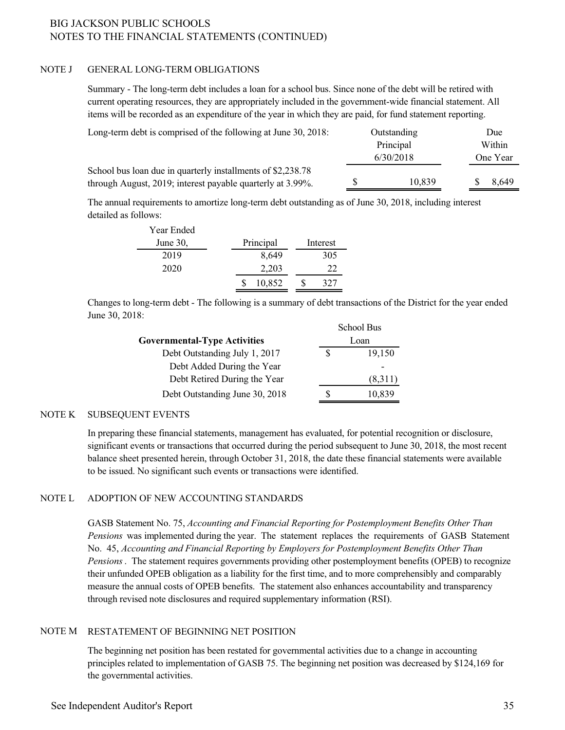#### NOTE J GENERAL LONG-TERM OBLIGATIONS

Summary - The long-term debt includes a loan for a school bus. Since none of the debt will be retired with current operating resources, they are appropriately included in the government-wide financial statement. All items will be recorded as an expenditure of the year in which they are paid, for fund statement reporting.

| Long-term debt is comprised of the following at June 30, 2018:                                                            | Outstanding |        | Due |          |  |  |
|---------------------------------------------------------------------------------------------------------------------------|-------------|--------|-----|----------|--|--|
|                                                                                                                           | Principal   | Within |     |          |  |  |
|                                                                                                                           | 6/30/2018   |        |     | One Year |  |  |
| School bus loan due in quarterly installments of \$2,238.78<br>through August, 2019; interest payable quarterly at 3.99%. | S           | 10,839 |     | 8,649    |  |  |

The annual requirements to amortize long-term debt outstanding as of June 30, 2018, including interest detailed as follows:

| Year Ended |           |          |
|------------|-----------|----------|
| June 30,   | Principal | Interest |
| 2019       | 8,649     | 305      |
| 2020       | 2,203     | 22       |
|            | 10,852    | 327      |

Changes to long-term debt - The following is a summary of debt transactions of the District for the year ended June 30, 2018:  $C_1$   $D_2$ 

|                                     |   | SCHOOL BUS |
|-------------------------------------|---|------------|
| <b>Governmental-Type Activities</b> |   | Loan       |
| Debt Outstanding July 1, 2017       |   | 19,150     |
| Debt Added During the Year          |   |            |
| Debt Retired During the Year        |   | (8,311)    |
| Debt Outstanding June 30, 2018      | S | 10,839     |

#### NOTE K SUBSEQUENT EVENTS

In preparing these financial statements, management has evaluated, for potential recognition or disclosure, significant events or transactions that occurred during the period subsequent to June 30, 2018, the most recent balance sheet presented herein, through October 31, 2018, the date these financial statements were available to be issued. No significant such events or transactions were identified.

# NOTE L ADOPTION OF NEW ACCOUNTING STANDARDS

GASB Statement No. 75, *Accounting and Financial Reporting for Postemployment Benefits Other Than Pensions* was implemented during the year. The statement replaces the requirements of GASB Statement No. 45, *Accounting and Financial Reporting by Employers for Postemployment Benefits Other Than Pensions*. The statement requires governments providing other postemployment benefits (OPEB) to recognize their unfunded OPEB obligation as a liability for the first time, and to more comprehensibly and comparably measure the annual costs of OPEB benefits. The statement also enhances accountability and transparency through revised note disclosures and required supplementary information (RSI).

# NOTE M RESTATEMENT OF BEGINNING NET POSITION

The beginning net position has been restated for governmental activities due to a change in accounting principles related to implementation of GASB 75. The beginning net position was decreased by \$124,169 for the governmental activities.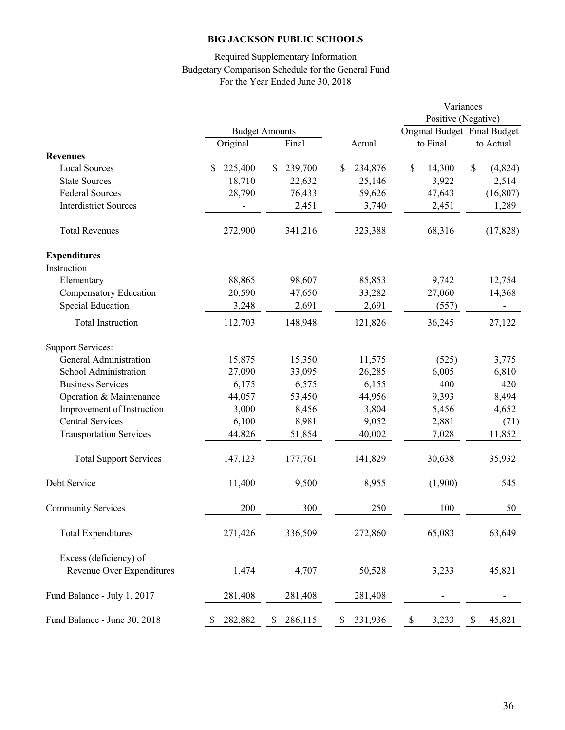# Required Supplementary Information Budgetary Comparison Schedule for the General Fund For the Year Ended June 30, 2018

|                                |               |                       |                         | Variances                    |               |
|--------------------------------|---------------|-----------------------|-------------------------|------------------------------|---------------|
|                                |               |                       |                         | Positive (Negative)          |               |
|                                |               | <b>Budget Amounts</b> |                         | Original Budget Final Budget |               |
|                                | Original      | Final                 | <b>Actual</b>           | to Final                     | to Actual     |
| <b>Revenues</b>                |               |                       |                         |                              |               |
| <b>Local Sources</b>           | 225,400<br>\$ | 239,700<br>\$         | 234,876<br><sup>S</sup> | \$<br>14,300                 | \$<br>(4,824) |
| <b>State Sources</b>           | 18,710        | 22,632                | 25,146                  | 3,922                        | 2,514         |
| <b>Federal Sources</b>         | 28,790        | 76,433                | 59,626                  | 47,643                       | (16, 807)     |
| <b>Interdistrict Sources</b>   |               | 2,451                 | 3,740                   | 2,451                        | 1,289         |
| <b>Total Revenues</b>          | 272,900       | 341,216               | 323,388                 | 68,316                       | (17,828)      |
| <b>Expenditures</b>            |               |                       |                         |                              |               |
| Instruction                    |               |                       |                         |                              |               |
| Elementary                     | 88,865        | 98,607                | 85,853                  | 9,742                        | 12,754        |
| Compensatory Education         | 20,590        | 47,650                | 33,282                  | 27,060                       | 14,368        |
| Special Education              | 3,248         | 2,691                 | 2,691                   | (557)                        |               |
| <b>Total Instruction</b>       | 112,703       | 148,948               | 121,826                 | 36,245                       | 27,122        |
| <b>Support Services:</b>       |               |                       |                         |                              |               |
| General Administration         | 15,875        | 15,350                | 11,575                  | (525)                        | 3,775         |
| School Administration          | 27,090        | 33,095                | 26,285                  | 6,005                        | 6,810         |
| <b>Business Services</b>       | 6,175         | 6,575                 | 6,155                   | 400                          | 420           |
| Operation & Maintenance        | 44,057        | 53,450                | 44,956                  | 9,393                        | 8,494         |
| Improvement of Instruction     | 3,000         | 8,456                 | 3,804                   | 5,456                        | 4,652         |
| <b>Central Services</b>        | 6,100         | 8,981                 | 9,052                   | 2,881                        | (71)          |
| <b>Transportation Services</b> | 44,826        | 51,854                | 40,002                  | 7,028                        | 11,852        |
| <b>Total Support Services</b>  | 147,123       | 177,761               | 141,829                 | 30,638                       | 35,932        |
| Debt Service                   | 11,400        | 9,500                 | 8,955                   | (1,900)                      | 545           |
| <b>Community Services</b>      | 200           | 300                   | 250                     | 100                          | 50            |
| <b>Total Expenditures</b>      | 271,426       | 336,509               | 272,860                 | 65,083                       | 63,649        |
| Excess (deficiency) of         |               |                       |                         |                              |               |
| Revenue Over Expenditures      | 1,474         | 4,707                 | 50,528                  | 3,233                        | 45,821        |
| Fund Balance - July 1, 2017    | 281,408       | 281,408               | 281,408                 |                              |               |
| Fund Balance - June 30, 2018   | 282,882<br>S  | \$<br>286,115         | \$<br>331,936           | \$<br>3,233                  | \$<br>45,821  |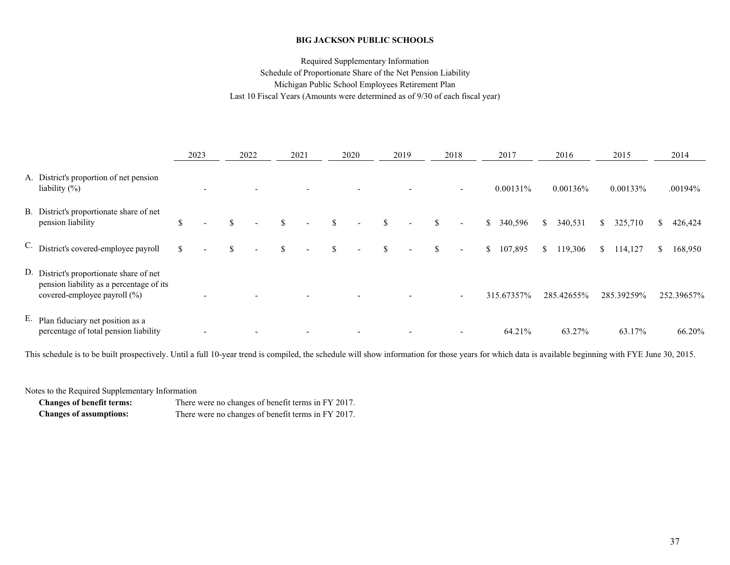# Required Supplementary Information Schedule of Proportionate Share of the Net Pension Liability Michigan Public School Employees Retirement Plan Last 10 Fiscal Years (Amounts were determined as of 9/30 of each fiscal year)

|                                                                                                                      |             | 2023 | 2022 | 2021 |  | 2020 | 2019 | 2018   | 2017          | 2016           | 2015          | 2014          |
|----------------------------------------------------------------------------------------------------------------------|-------------|------|------|------|--|------|------|--------|---------------|----------------|---------------|---------------|
| A. District's proportion of net pension<br>liability $(\%)$                                                          |             |      |      |      |  |      |      |        | 0.00131%      | 0.00136%       | 0.00133%      | .00194%       |
| B. District's proportionate share of net<br>pension liability                                                        | $\mathbf S$ |      |      |      |  |      |      |        | 340,596<br>\$ | 340,531<br>S.  | 325,710<br>S. | 426,424<br>S. |
| C. District's covered-employee payroll                                                                               | S.          |      |      |      |  |      |      |        | 107,895<br>\$ | 119,306<br>\$. | 114,127<br>\$ | 168,950       |
| D. District's proportionate share of net<br>pension liability as a percentage of its<br>covered-employee payroll (%) |             |      |      |      |  |      |      | $\sim$ | 315.67357%    | 285.42655%     | 285.39259%    | 252.39657%    |
| E. Plan fiduciary net position as a<br>percentage of total pension liability                                         |             |      |      |      |  |      |      |        | 64.21%        | 63.27%         | 63.17%        | 66.20%        |

This schedule is to be built prospectively. Until a full 10-year trend is compiled, the schedule will show information for those years for which data is available beginning with FYE June 30, 2015.

Notes to the Required Supplementary Information

| <b>Changes of benefit terms:</b> | There were no changes of benefit terms in FY 2017. |
|----------------------------------|----------------------------------------------------|
| <b>Changes of assumptions:</b>   | There were no changes of benefit terms in FY 2017. |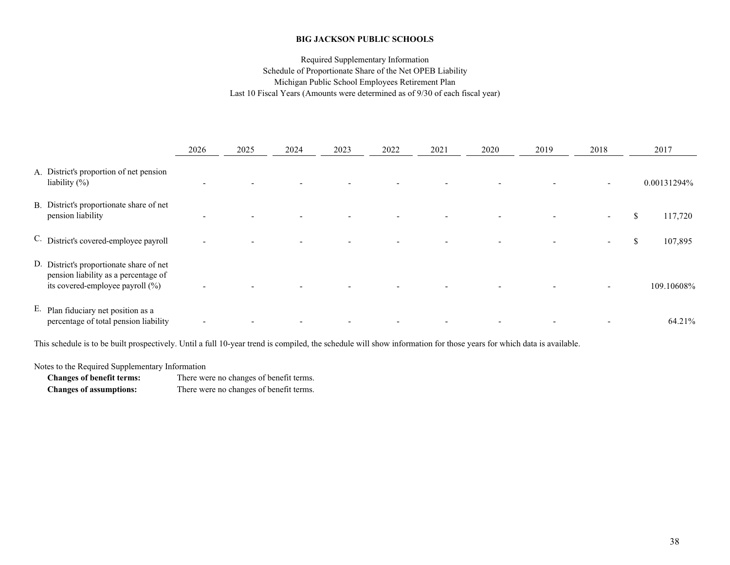### Required Supplementary Information Schedule of Proportionate Share of the Net OPEB Liability Michigan Public School Employees Retirement Plan Last 10 Fiscal Years (Amounts were determined as of 9/30 of each fiscal year)

|                                                                                                                      | 2026                     | 2025 | 2024 | 2023 | 2022 | 2021 | 2020 | 2019 | 2018 |    | 2017        |
|----------------------------------------------------------------------------------------------------------------------|--------------------------|------|------|------|------|------|------|------|------|----|-------------|
| A. District's proportion of net pension<br>liability $(\%)$                                                          |                          |      |      |      |      |      |      |      |      |    | 0.00131294% |
| B. District's proportionate share of net<br>pension liability                                                        |                          |      |      |      |      |      |      |      |      | S. | 117,720     |
| C. District's covered-employee payroll                                                                               | $\overline{\phantom{a}}$ |      |      |      |      |      |      |      |      | S. | 107,895     |
| D. District's proportionate share of net<br>pension liability as a percentage of<br>its covered-employee payroll (%) |                          |      |      |      |      |      |      |      |      |    | 109.10608%  |
| E. Plan fiduciary net position as a<br>percentage of total pension liability                                         |                          |      |      |      |      |      |      |      |      |    | 64.21%      |

This schedule is to be built prospectively. Until a full 10-year trend is compiled, the schedule will show information for those years for which data is available.

Notes to the Required Supplementary Information

**Changes of benefit terms:** There were no changes of benefit terms. **Changes of assumptions:** There were no changes of benefit terms.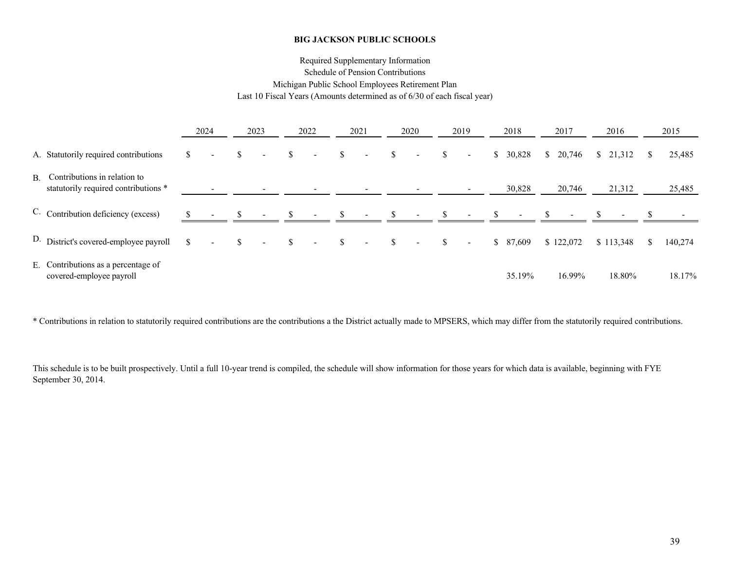#### Required Supplementary Information Schedule of Pension Contributions Michigan Public School Employees Retirement Plan Last 10 Fiscal Years (Amounts determined as of 6/30 of each fiscal year)

|                                                                         |               | 2024 | 2023 | 2022                     |    | 2021   |    | 2020                     |               | 2019                     |              | 2018                     | 2017      | 2016      |               | 2015    |
|-------------------------------------------------------------------------|---------------|------|------|--------------------------|----|--------|----|--------------------------|---------------|--------------------------|--------------|--------------------------|-----------|-----------|---------------|---------|
| A. Statutorily required contributions                                   |               |      |      |                          |    |        |    |                          | S             | $\overline{\phantom{a}}$ | $\mathbb{S}$ | 30,828                   | \$20,746  | \$21,312  | S.            | 25,485  |
| B. Contributions in relation to<br>statutorily required contributions * |               |      |      |                          |    |        |    |                          |               |                          |              | 30,828                   | 20,746    | 21,312    |               | 25,485  |
| C. Contribution deficiency (excess)                                     |               |      |      | $\overline{\phantom{0}}$ | -S | $\sim$ | S. | $\overline{\phantom{0}}$ | $\mathcal{S}$ |                          | S.           | $\overline{\phantom{a}}$ |           |           |               |         |
| D. District's covered-employee payroll                                  | <sup>\$</sup> |      |      |                          |    |        |    |                          |               |                          |              | \$87,609                 | \$122,072 | \$113,348 | <sup>\$</sup> | 140,274 |
| E. Contributions as a percentage of<br>covered-employee payroll         |               |      |      |                          |    |        |    |                          |               |                          |              | 35.19%                   | 16.99%    | 18.80%    |               | 18.17%  |

\* Contributions in relation to statutorily required contributions are the contributions a the District actually made to MPSERS, which may differ from the statutorily required contributions.

This schedule is to be built prospectively. Until a full 10-year trend is compiled, the schedule will show information for those years for which data is available, beginning with FYE September 30, 2014.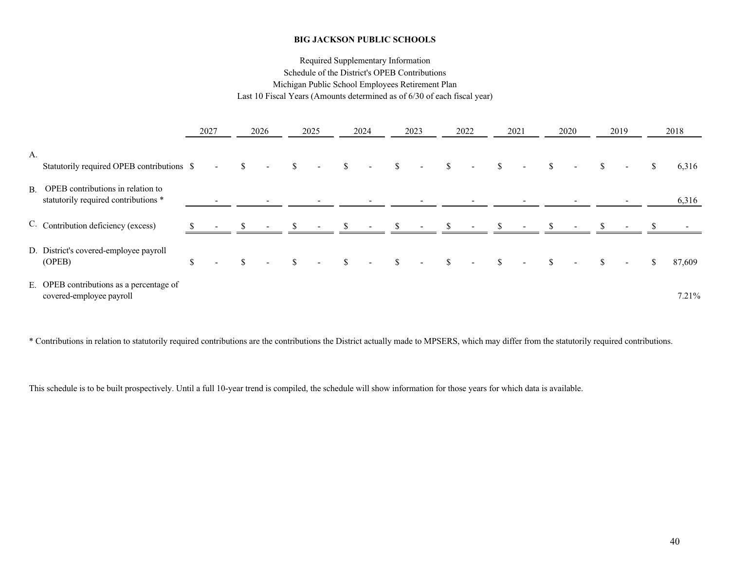#### Required Supplementary Information Schedule of the District's OPEB Contributions Michigan Public School Employees Retirement Plan Last 10 Fiscal Years (Amounts determined as of 6/30 of each fiscal year)

|              |                                                                           | 2027   |               | 2026   |               | 2025                     |               | 2024                     | 2023          |                      |               | 2022                     |                    | 2021                     |               | 2020 |               | 2019                     | 2018         |
|--------------|---------------------------------------------------------------------------|--------|---------------|--------|---------------|--------------------------|---------------|--------------------------|---------------|----------------------|---------------|--------------------------|--------------------|--------------------------|---------------|------|---------------|--------------------------|--------------|
| A.           | Statutorily required OPEB contributions \$                                | $\sim$ | <sup>\$</sup> | $\sim$ | $\mathbb{S}$  | $\sim$                   | $\mathbb{S}$  | $\sim$                   | $\mathbb{S}$  | $\sim$               | $\mathbb{S}$  | $\sim$                   | $\mathbb{S}$       | $\overline{\phantom{a}}$ | <sup>\$</sup> |      | <sup>\$</sup> | $\overline{\phantom{a}}$ | \$<br>6,316  |
| $\mathbf{B}$ | OPEB contributions in relation to<br>statutorily required contributions * |        |               |        |               |                          |               |                          |               |                      |               |                          |                    |                          |               |      |               |                          | 6,316        |
|              | C. Contribution deficiency (excess)                                       |        |               |        |               | $\sim$                   | <sup>\$</sup> | <b>Contract Contract</b> | $\mathcal{S}$ | <b>Service</b> State | -S            | $\sim$                   | $\mathcal{S}$      | $\overline{\phantom{a}}$ | S.            |      |               |                          |              |
|              | D. District's covered-employee payroll<br>(OPEB)                          | \$     |               |        | $\mathcal{S}$ | $\overline{\phantom{a}}$ | <sup>\$</sup> |                          |               |                      | $\mathcal{S}$ | $\overline{\phantom{a}}$ | $\mathbf{\hat{S}}$ |                          |               |      |               | $\overline{\phantom{a}}$ | \$<br>87,609 |
|              | E. OPEB contributions as a percentage of<br>covered-employee payroll      |        |               |        |               |                          |               |                          |               |                      |               |                          |                    |                          |               |      |               |                          | 7.21%        |

\* Contributions in relation to statutorily required contributions are the contributions the District actually made to MPSERS, which may differ from the statutorily required contributions.

This schedule is to be built prospectively. Until a full 10-year trend is compiled, the schedule will show information for those years for which data is available.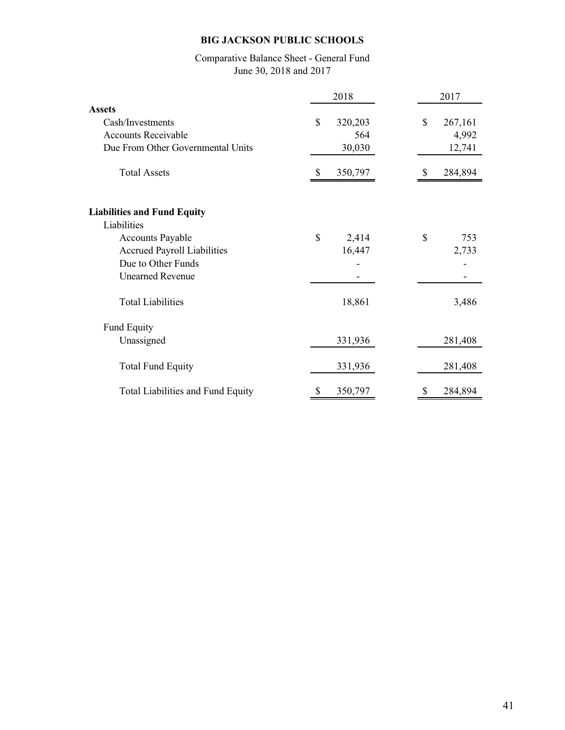# June 30, 2018 and 2017 Comparative Balance Sheet - General Fund

|                                          | 2018          | 2017          |
|------------------------------------------|---------------|---------------|
| <b>Assets</b>                            |               |               |
| Cash/Investments                         | \$<br>320,203 | \$<br>267,161 |
| <b>Accounts Receivable</b>               | 564           | 4,992         |
| Due From Other Governmental Units        | 30,030        | 12,741        |
| <b>Total Assets</b>                      | 350,797       | 284,894       |
| <b>Liabilities and Fund Equity</b>       |               |               |
| Liabilities                              |               |               |
| <b>Accounts Payable</b>                  | \$<br>2,414   | \$<br>753     |
| <b>Accrued Payroll Liabilities</b>       | 16,447        | 2,733         |
| Due to Other Funds                       |               |               |
| <b>Unearned Revenue</b>                  |               |               |
| <b>Total Liabilities</b>                 | 18,861        | 3,486         |
| Fund Equity                              |               |               |
| Unassigned                               | 331,936       | 281,408       |
| <b>Total Fund Equity</b>                 | 331,936       | 281,408       |
| <b>Total Liabilities and Fund Equity</b> | 350,797<br>\$ | 284,894<br>\$ |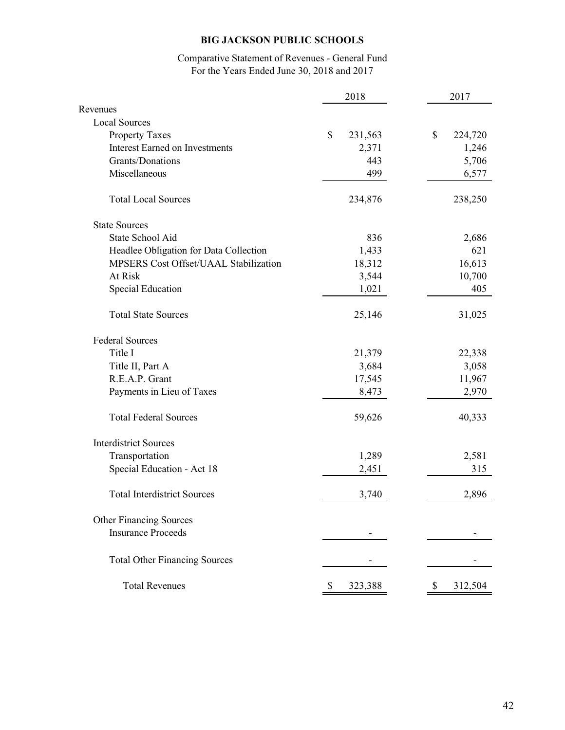# Comparative Statement of Revenues - General Fund For the Years Ended June 30, 2018 and 2017

| Revenues<br><b>Local Sources</b><br>\$<br><b>Property Taxes</b><br>231,563<br><b>Interest Earned on Investments</b><br>2,371<br>Grants/Donations<br>443<br>Miscellaneous<br>499 | \$<br>224,720<br>1,246<br>5,706<br>6,577<br>238,250<br>2,686 |
|---------------------------------------------------------------------------------------------------------------------------------------------------------------------------------|--------------------------------------------------------------|
|                                                                                                                                                                                 |                                                              |
|                                                                                                                                                                                 |                                                              |
|                                                                                                                                                                                 |                                                              |
|                                                                                                                                                                                 |                                                              |
|                                                                                                                                                                                 |                                                              |
|                                                                                                                                                                                 |                                                              |
| <b>Total Local Sources</b><br>234,876                                                                                                                                           |                                                              |
| <b>State Sources</b>                                                                                                                                                            |                                                              |
| State School Aid<br>836                                                                                                                                                         |                                                              |
| Headlee Obligation for Data Collection<br>1,433                                                                                                                                 | 621                                                          |
| MPSERS Cost Offset/UAAL Stabilization<br>18,312                                                                                                                                 | 16,613                                                       |
| At Risk<br>3,544                                                                                                                                                                | 10,700                                                       |
| <b>Special Education</b><br>1,021                                                                                                                                               | 405                                                          |
| <b>Total State Sources</b><br>25,146                                                                                                                                            | 31,025                                                       |
| <b>Federal Sources</b>                                                                                                                                                          |                                                              |
| Title I<br>21,379                                                                                                                                                               | 22,338                                                       |
| Title II, Part A<br>3,684                                                                                                                                                       | 3,058                                                        |
| R.E.A.P. Grant<br>17,545                                                                                                                                                        | 11,967                                                       |
| Payments in Lieu of Taxes<br>8,473                                                                                                                                              | 2,970                                                        |
| <b>Total Federal Sources</b><br>59,626                                                                                                                                          | 40,333                                                       |
| <b>Interdistrict Sources</b>                                                                                                                                                    |                                                              |
| Transportation<br>1,289                                                                                                                                                         | 2,581                                                        |
| Special Education - Act 18<br>2,451                                                                                                                                             | 315                                                          |
| <b>Total Interdistrict Sources</b><br>3,740                                                                                                                                     | 2,896                                                        |
| <b>Other Financing Sources</b>                                                                                                                                                  |                                                              |
| <b>Insurance Proceeds</b>                                                                                                                                                       |                                                              |
| <b>Total Other Financing Sources</b>                                                                                                                                            |                                                              |
| <b>Total Revenues</b><br>323,388                                                                                                                                                | 312,504<br>P                                                 |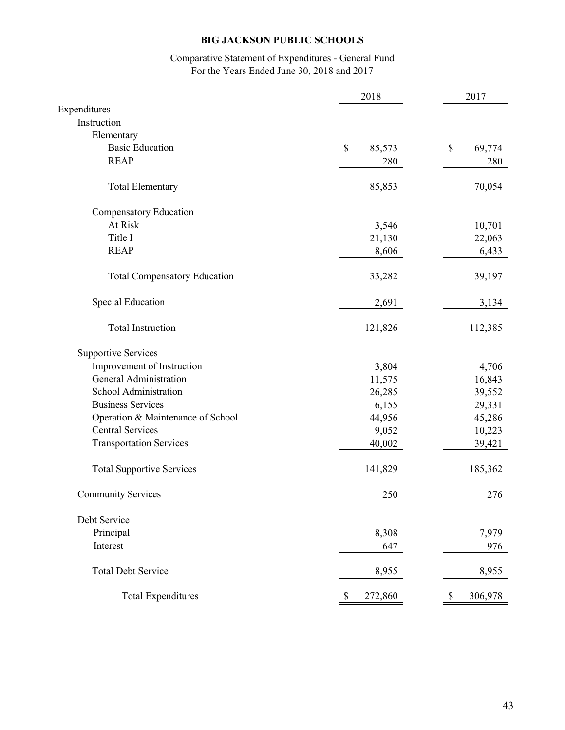# Comparative Statement of Expenditures - General Fund For the Years Ended June 30, 2018 and 2017

|                                     | 2018         | 2017         |
|-------------------------------------|--------------|--------------|
| Expenditures                        |              |              |
| Instruction                         |              |              |
| Elementary                          |              |              |
| <b>Basic Education</b>              | \$<br>85,573 | \$<br>69,774 |
| <b>REAP</b>                         | 280          | 280          |
| <b>Total Elementary</b>             | 85,853       | 70,054       |
| Compensatory Education              |              |              |
| At Risk                             | 3,546        | 10,701       |
| Title I                             | 21,130       | 22,063       |
| <b>REAP</b>                         | 8,606        | 6,433        |
| <b>Total Compensatory Education</b> | 33,282       | 39,197       |
| <b>Special Education</b>            | 2,691        | 3,134        |
| <b>Total Instruction</b>            | 121,826      | 112,385      |
| <b>Supportive Services</b>          |              |              |
| Improvement of Instruction          | 3,804        | 4,706        |
| General Administration              | 11,575       | 16,843       |
| School Administration               | 26,285       | 39,552       |
| <b>Business Services</b>            | 6,155        | 29,331       |
| Operation & Maintenance of School   | 44,956       | 45,286       |
| <b>Central Services</b>             | 9,052        | 10,223       |
| <b>Transportation Services</b>      | 40,002       | 39,421       |
| <b>Total Supportive Services</b>    | 141,829      | 185,362      |
| <b>Community Services</b>           | 250          | 276          |
| Debt Service                        |              |              |
| Principal                           | 8,308        | 7,979        |
| Interest                            | 647          | 976          |
| <b>Total Debt Service</b>           | 8,955        | 8,955        |
| <b>Total Expenditures</b>           | 272,860      | 306,978      |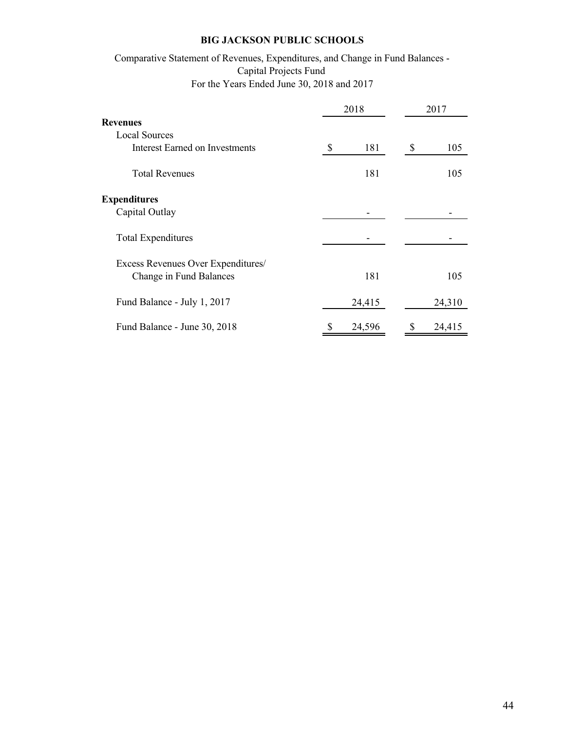# Comparative Statement of Revenues, Expenditures, and Change in Fund Balances - For the Years Ended June 30, 2018 and 2017 Capital Projects Fund

|                                    | 2018         | 2017         |
|------------------------------------|--------------|--------------|
| <b>Revenues</b>                    |              |              |
| <b>Local Sources</b>               |              |              |
| Interest Earned on Investments     | \$<br>181    | \$<br>105    |
| <b>Total Revenues</b>              | 181          | 105          |
| <b>Expenditures</b>                |              |              |
| Capital Outlay                     |              |              |
| <b>Total Expenditures</b>          |              |              |
| Excess Revenues Over Expenditures/ |              |              |
| Change in Fund Balances            | 181          | 105          |
| Fund Balance - July 1, 2017        | 24,415       | 24,310       |
| Fund Balance - June 30, 2018       | \$<br>24,596 | \$<br>24,415 |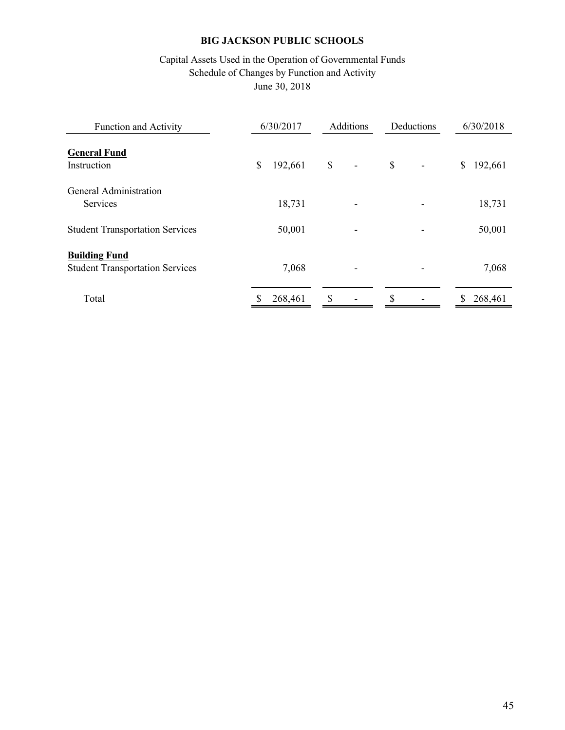# Capital Assets Used in the Operation of Governmental Funds Schedule of Changes by Function and Activity June 30, 2018

| <b>Function and Activity</b>                                   | 6/30/2017     | <b>Additions</b>               | Deductions | 6/30/2018     |
|----------------------------------------------------------------|---------------|--------------------------------|------------|---------------|
| <b>General Fund</b><br>Instruction                             | \$<br>192,661 | \$<br>$\overline{\phantom{a}}$ | \$         | 192,661<br>\$ |
| General Administration<br>Services                             | 18,731        | ۰                              |            | 18,731        |
| <b>Student Transportation Services</b>                         | 50,001        | -                              |            | 50,001        |
| <b>Building Fund</b><br><b>Student Transportation Services</b> | 7,068         | $\overline{\phantom{a}}$       |            | 7,068         |
| Total                                                          | 268,461       | S                              | S          | 268,461<br>S  |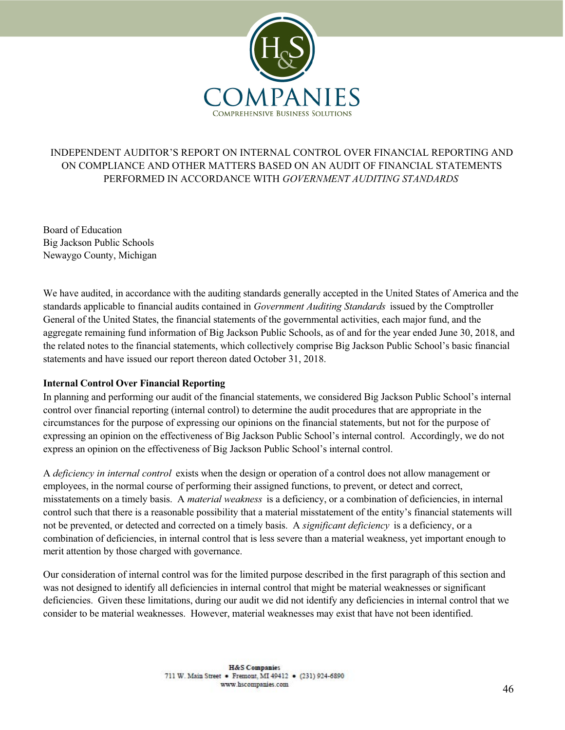

# INDEPENDENT AUDITOR'S REPORT ON INTERNAL CONTROL OVER FINANCIAL REPORTING AND ON COMPLIANCE AND OTHER MATTERS BASED ON AN AUDIT OF FINANCIAL STATEMENTS PERFORMED IN ACCORDANCE WITH *GOVERNMENT AUDITING STANDARDS*

Board of Education Big Jackson Public Schools Newaygo County, Michigan

We have audited, in accordance with the auditing standards generally accepted in the United States of America and the standards applicable to financial audits contained in *Government Auditing Standards* issued by the Comptroller General of the United States, the financial statements of the governmental activities, each major fund, and the aggregate remaining fund information of Big Jackson Public Schools, as of and for the year ended June 30, 2018, and the related notes to the financial statements, which collectively comprise Big Jackson Public School's basic financial statements and have issued our report thereon dated October 31, 2018.

#### **Internal Control Over Financial Reporting**

In planning and performing our audit of the financial statements, we considered Big Jackson Public School's internal control over financial reporting (internal control) to determine the audit procedures that are appropriate in the circumstances for the purpose of expressing our opinions on the financial statements, but not for the purpose of expressing an opinion on the effectiveness of Big Jackson Public School's internal control. Accordingly, we do not express an opinion on the effectiveness of Big Jackson Public School's internal control.

<sup>A</sup>*deficiency in internal control* exists when the design or operation of a control does not allow management or employees, in the normal course of performing their assigned functions, to prevent, or detect and correct, misstatements on a timely basis. A *material weakness* is a deficiency, or a combination of deficiencies, in internal control such that there is a reasonable possibility that a material misstatement of the entity's financial statements will not be prevented, or detected and corrected on a timely basis. A *significant deficiency* is a deficiency, or a combination of deficiencies, in internal control that is less severe than a material weakness, yet important enough to merit attention by those charged with governance.

Our consideration of internal control was for the limited purpose described in the first paragraph of this section and was not designed to identify all deficiencies in internal control that might be material weaknesses or significant deficiencies. Given these limitations, during our audit we did not identify any deficiencies in internal control that we consider to be material weaknesses. However, material weaknesses may exist that have not been identified.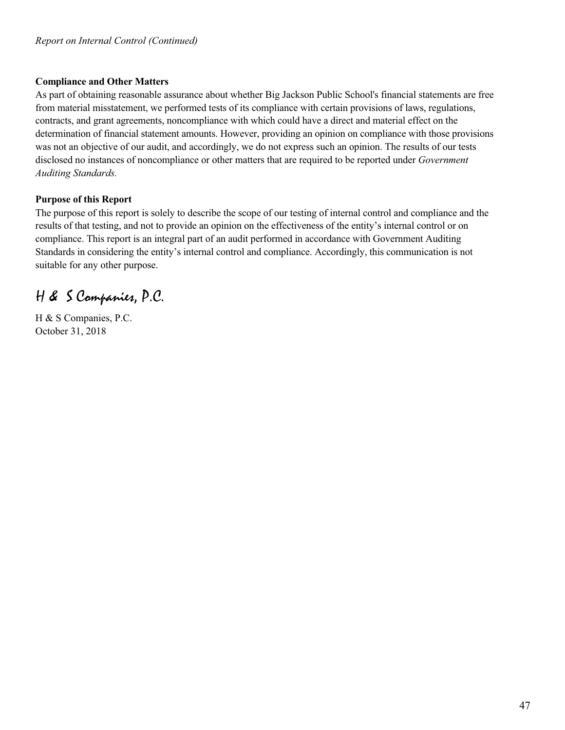# **Compliance and Other Matters**

As part of obtaining reasonable assurance about whether Big Jackson Public School's financial statements are free from material misstatement, we performed tests of its compliance with certain provisions of laws, regulations, contracts, and grant agreements, noncompliance with which could have a direct and material effect on the determination of financial statement amounts. However, providing an opinion on compliance with those provisions was not an objective of our audit, and accordingly, we do not express such an opinion. The results of our tests disclosed no instances of noncompliance or other matters that are required to be reported under *Government Auditing Standards.*

# **Purpose of this Report**

The purpose of this report is solely to describe the scope of our testing of internal control and compliance and the results of that testing, and not to provide an opinion on the effectiveness of the entity's internal control or on compliance. This report is an integral part of an audit performed in accordance with Government Auditing Standards in considering the entity's internal control and compliance. Accordingly, this communication is not suitable for any other purpose.

H *&* S Companies, P.C.

H & S Companies, P.C. October 31, 2018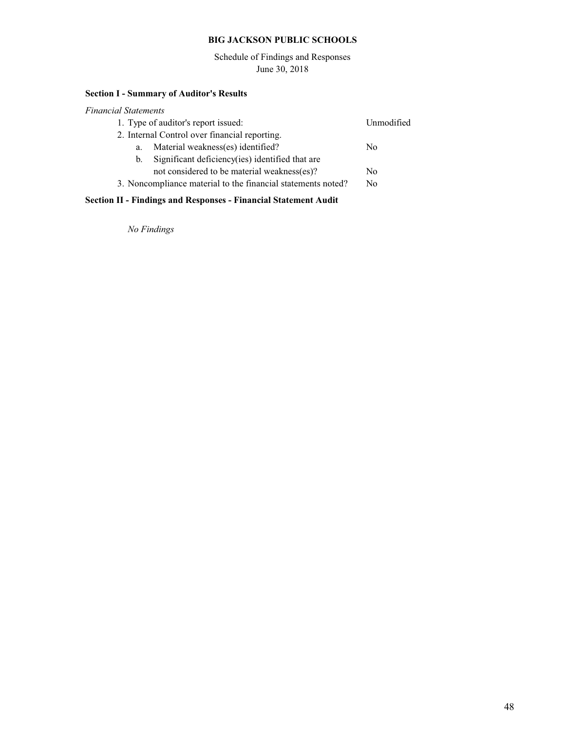# Schedule of Findings and Responses June 30, 2018

# **Section I - Summary of Auditor's Results**

| Financial Statements                                         |                |
|--------------------------------------------------------------|----------------|
| 1. Type of auditor's report issued:                          | Unmodified     |
| 2. Internal Control over financial reporting.                |                |
| Material weakness(es) identified?<br>a.                      | No             |
| Significant deficiency (ies) identified that are<br>b.       |                |
| not considered to be material weakness(es)?                  | No             |
| 3. Noncompliance material to the financial statements noted? | N <sub>0</sub> |
|                                                              |                |

# **Section II - Findings and Responses - Financial Statement Audit**

*No Findings*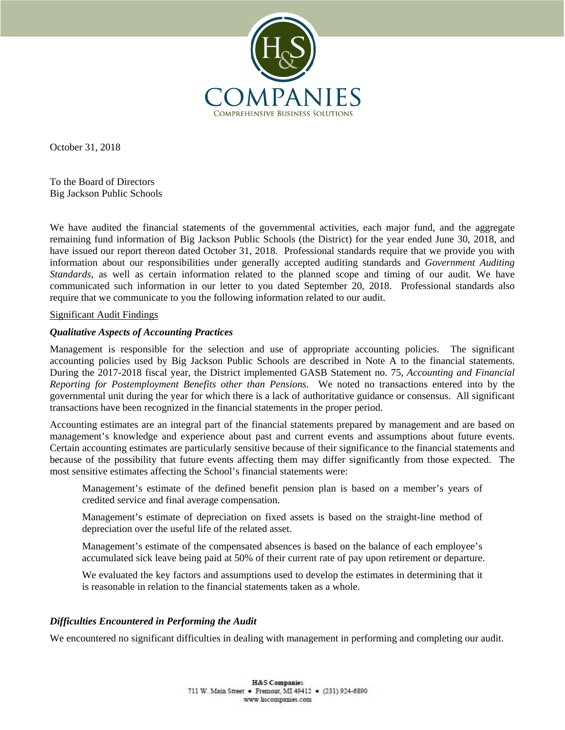

October 31, 2018

To the Board of Directors Big Jackson Public Schools

We have audited the financial statements of the governmental activities, each major fund, and the aggregate remaining fund information of Big Jackson Public Schools (the District) for the year ended June 30, 2018, and have issued our report thereon dated October 31, 2018. Professional standards require that we provide you with information about our responsibilities under generally accepted auditing standards and *Government Auditing Standards*, as well as certain information related to the planned scope and timing of our audit. We have communicated such information in our letter to you dated September 20, 2018. Professional standards also require that we communicate to you the following information related to our audit.

#### Significant Audit Findings

#### *Qualitative Aspects of Accounting Practices*

Management is responsible for the selection and use of appropriate accounting policies. The significant accounting policies used by Big Jackson Public Schools are described in Note A to the financial statements. During the 2017-2018 fiscal year, the District implemented GASB Statement no. 75, *Accounting and Financial Reporting for Postemployment Benefits other than Pensions.* We noted no transactions entered into by the governmental unit during the year for which there is a lack of authoritative guidance or consensus. All significant transactions have been recognized in the financial statements in the proper period.

Accounting estimates are an integral part of the financial statements prepared by management and are based on management's knowledge and experience about past and current events and assumptions about future events. Certain accounting estimates are particularly sensitive because of their significance to the financial statements and because of the possibility that future events affecting them may differ significantly from those expected. The most sensitive estimates affecting the School's financial statements were:

Management's estimate of the defined benefit pension plan is based on a member's years of credited service and final average compensation.

Management's estimate of depreciation on fixed assets is based on the straight-line method of depreciation over the useful life of the related asset.

Management's estimate of the compensated absences is based on the balance of each employee's accumulated sick leave being paid at 50% of their current rate of pay upon retirement or departure.

We evaluated the key factors and assumptions used to develop the estimates in determining that it is reasonable in relation to the financial statements taken as a whole.

#### *Difficulties Encountered in Performing the Audit*

We encountered no significant difficulties in dealing with management in performing and completing our audit.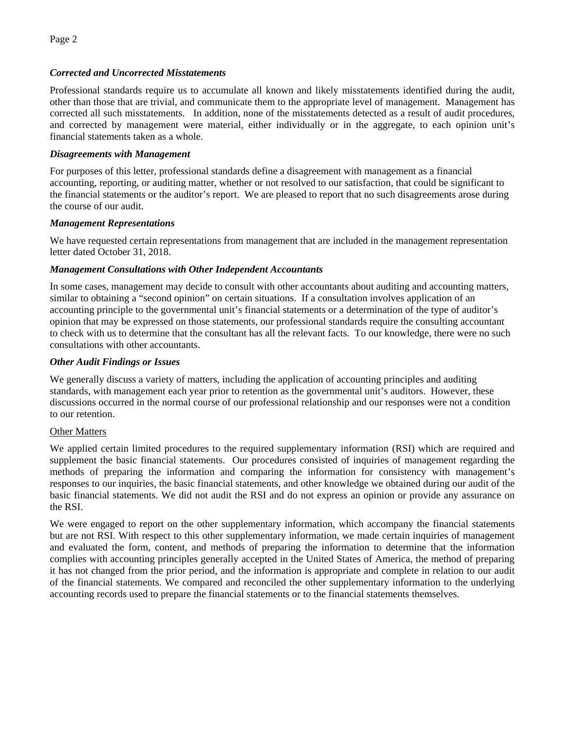### *Corrected and Uncorrected Misstatements*

Professional standards require us to accumulate all known and likely misstatements identified during the audit, other than those that are trivial, and communicate them to the appropriate level of management. Management has corrected all such misstatements. In addition, none of the misstatements detected as a result of audit procedures, and corrected by management were material, either individually or in the aggregate, to each opinion unit's financial statements taken as a whole.

## *Disagreements with Management*

For purposes of this letter, professional standards define a disagreement with management as a financial accounting, reporting, or auditing matter, whether or not resolved to our satisfaction, that could be significant to the financial statements or the auditor's report. We are pleased to report that no such disagreements arose during the course of our audit.

## *Management Representations*

We have requested certain representations from management that are included in the management representation letter dated October 31, 2018.

## *Management Consultations with Other Independent Accountants*

In some cases, management may decide to consult with other accountants about auditing and accounting matters, similar to obtaining a "second opinion" on certain situations. If a consultation involves application of an accounting principle to the governmental unit's financial statements or a determination of the type of auditor's opinion that may be expressed on those statements, our professional standards require the consulting accountant to check with us to determine that the consultant has all the relevant facts. To our knowledge, there were no such consultations with other accountants.

## *Other Audit Findings or Issues*

We generally discuss a variety of matters, including the application of accounting principles and auditing standards, with management each year prior to retention as the governmental unit's auditors. However, these discussions occurred in the normal course of our professional relationship and our responses were not a condition to our retention.

#### Other Matters

We applied certain limited procedures to the required supplementary information (RSI) which are required and supplement the basic financial statements. Our procedures consisted of inquiries of management regarding the methods of preparing the information and comparing the information for consistency with management's responses to our inquiries, the basic financial statements, and other knowledge we obtained during our audit of the basic financial statements. We did not audit the RSI and do not express an opinion or provide any assurance on the RSI.

We were engaged to report on the other supplementary information, which accompany the financial statements but are not RSI. With respect to this other supplementary information, we made certain inquiries of management and evaluated the form, content, and methods of preparing the information to determine that the information complies with accounting principles generally accepted in the United States of America, the method of preparing it has not changed from the prior period, and the information is appropriate and complete in relation to our audit of the financial statements. We compared and reconciled the other supplementary information to the underlying accounting records used to prepare the financial statements or to the financial statements themselves.